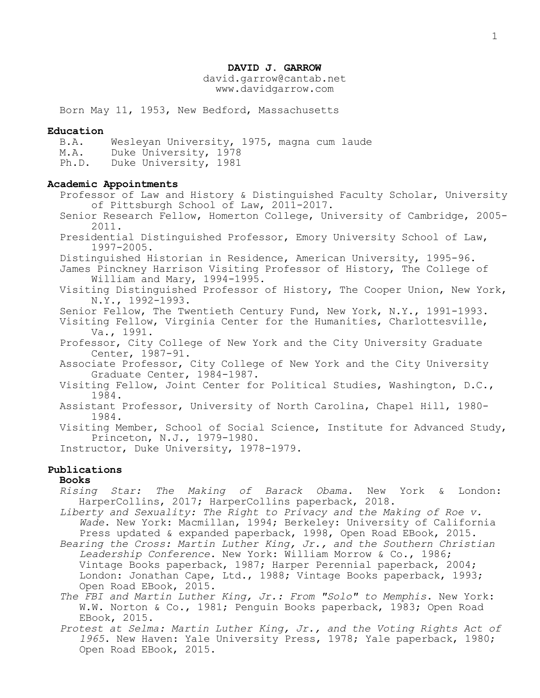## **DAVID J. GARROW**

david.garrow@cantab.net www.davidgarrow.com

Born May 11, 1953, New Bedford, Massachusetts

### **Education**

B.A. Wesleyan University, 1975, magna cum laude M.A. Duke University, 1978 Ph.D. Duke University, 1981

## **Academic Appointments**

Professor of Law and History & Distinguished Faculty Scholar, University of Pittsburgh School of Law, 2011-2017.

Senior Research Fellow, Homerton College, University of Cambridge, 2005- 2011.

Presidential Distinguished Professor, Emory University School of Law, 1997-2005.

Distinguished Historian in Residence, American University, 1995-96.

James Pinckney Harrison Visiting Professor of History, The College of William and Mary, 1994-1995.

Visiting Distinguished Professor of History, The Cooper Union, New York, N.Y., 1992-1993.

Senior Fellow, The Twentieth Century Fund, New York, N.Y., 1991-1993.

Visiting Fellow, Virginia Center for the Humanities, Charlottesville, Va., 1991.

Professor, City College of New York and the City University Graduate Center, 1987-91.

Associate Professor, City College of New York and the City University Graduate Center, 1984-1987.

Visiting Fellow, Joint Center for Political Studies, Washington, D.C., 1984.

Assistant Professor, University of North Carolina, Chapel Hill, 1980- 1984.

Visiting Member, School of Social Science, Institute for Advanced Study, Princeton, N.J., 1979-1980.

Instructor, Duke University, 1978-1979.

# **Publications**

## **Books**

*Rising Star: The Making of Barack Obama*. New York & London: HarperCollins, 2017; HarperCollins paperback, 2018.

- *Liberty and Sexuality: The Right to Privacy and the Making of Roe v. Wade*. New York: Macmillan, 1994; Berkeley: University of California Press updated & expanded paperback, 1998, Open Road EBook, 2015.
- *Bearing the Cross: Martin Luther King, Jr., and the Southern Christian Leadership Conference*. New York: William Morrow & Co., 1986; Vintage Books paperback, 1987; Harper Perennial paperback, 2004; London: Jonathan Cape, Ltd., 1988; Vintage Books paperback, 1993; Open Road EBook, 2015.
- *The FBI and Martin Luther King, Jr.: From "Solo" to Memphis*. New York: W.W. Norton & Co., 1981; Penguin Books paperback, 1983; Open Road EBook, 2015.
- *Protest at Selma: Martin Luther King, Jr., and the Voting Rights Act of 1965*. New Haven: Yale University Press, 1978; Yale paperback, 1980; Open Road EBook, 2015.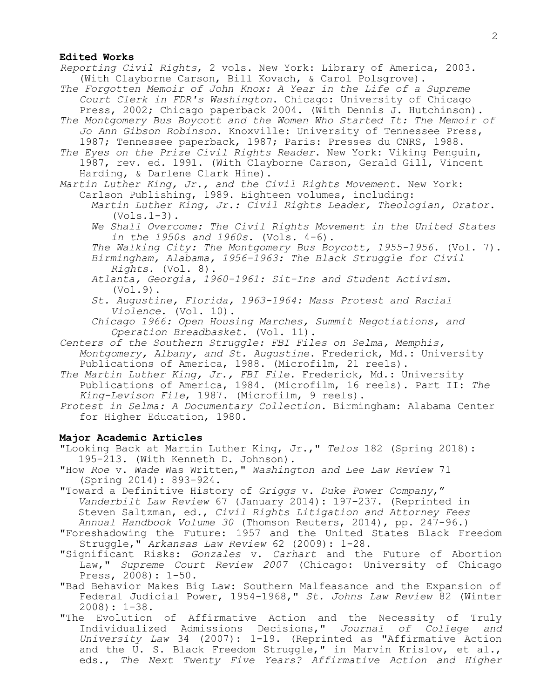### **Edited Works**

 *Reporting Civil Rights*, 2 vols. New York: Library of America, 2003. (With Clayborne Carson, Bill Kovach, & Carol Polsgrove).

*The Forgotten Memoir of John Knox: A Year in the Life of a Supreme Court Clerk in FDR's Washington*. Chicago: University of Chicago Press, 2002; Chicago paperback 2004. (With Dennis J. Hutchinson).

*The Montgomery Bus Boycott and the Women Who Started It: The Memoir of Jo Ann Gibson Robinson*. Knoxville: University of Tennessee Press, 1987; Tennessee paperback, 1987; Paris: Presses du CNRS, 1988.

*The Eyes on the Prize Civil Rights Reader*. New York: Viking Penguin, 1987, rev. ed. 1991. (With Clayborne Carson, Gerald Gill, Vincent Harding, & Darlene Clark Hine).

*Martin Luther King, Jr., and the Civil Rights Movement*. New York: Carlson Publishing, 1989. Eighteen volumes, including:

*Martin Luther King, Jr.: Civil Rights Leader, Theologian, Orator*.  $(Vols.1-3)$ .

*We Shall Overcome: The Civil Rights Movement in the United States in the 1950s and 1960s*. (Vols. 4-6).

*The Walking City: The Montgomery Bus Boycott, 1955-1956*. (Vol. 7). *Birmingham, Alabama, 1956-1963: The Black Struggle for Civil* 

*Rights*. (Vol. 8).

- *Atlanta, Georgia, 1960-1961: Sit-Ins and Student Activism*. (Vol.9).
- *St. Augustine, Florida, 1963-1964: Mass Protest and Racial Violence*. (Vol. 10).
- *Chicago 1966: Open Housing Marches, Summit Negotiations, and Operation Breadbasket*. (Vol. 11).
- *Centers of the Southern Struggle: FBI Files on Selma, Memphis, Montgomery, Albany, and St. Augustine*. Frederick, Md.: University Publications of America, 1988. (Microfilm, 21 reels).

*The Martin Luther King, Jr., FBI File*. Frederick, Md.: University Publications of America, 1984. (Microfilm, 16 reels). Part II: *The King-Levison File*, 1987. (Microfilm, 9 reels).

*Protest in Selma: A Documentary Collection*. Birmingham: Alabama Center for Higher Education, 1980.

## **Major Academic Articles**

"Looking Back at Martin Luther King, Jr.," *Telos* 182 (Spring 2018): 195-213. (With Kenneth D. Johnson).

"How *Roe* v. *Wade* Was Written," *Washington and Lee Law Review* 71 (Spring 2014): 893-924.

- "Toward a Definitive History of *Griggs* v. *Duke Power Company*," *Vanderbilt Law Review* 67 (January 2014): 197-237. (Reprinted in Steven Saltzman, ed., *Civil Rights Litigation and Attorney Fees Annual Handbook Volume 30* (Thomson Reuters, 2014), pp. 247-96.)
- "Foreshadowing the Future: 1957 and the United States Black Freedom Struggle," *Arkansas Law Review* 62 (2009): 1-28.
- "Significant Risks: *Gonzales* v. *Carhart* and the Future of Abortion Law," *Supreme Court Review 2007* (Chicago: University of Chicago Press, 2008): 1-50.

**"**Bad Behavior Makes Big Law: Southern Malfeasance and the Expansion of Federal Judicial Power, 1954-1968,**"** *St. Johns Law Review* 82 (Winter 2008): 1-38.

"The Evolution of Affirmative Action and the Necessity of Truly Individualized Admissions Decisions," *Journal of College and University Law* 34 (2007): 1-19. (Reprinted as "Affirmative Action and the U. S. Black Freedom Struggle," in Marvin Krislov, et al., eds., *The Next Twenty Five Years? Affirmative Action and Higher*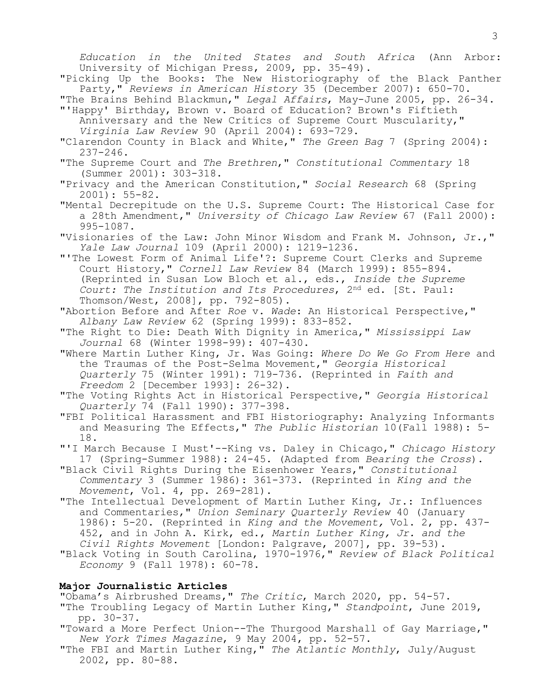*Education in the United States and South Africa* (Ann Arbor: University of Michigan Press, 2009, pp. 35-49).

"Picking Up the Books: The New Historiography of the Black Panther Party,**"** *Reviews in American History* 35 (December 2007): 650-70.

"The Brains Behind Blackmun," *Legal Affairs*, May-June 2005, pp. 26-34. "'Happy' Birthday, Brown v. Board of Education? Brown's Fiftieth

Anniversary and the New Critics of Supreme Court Muscularity," *Virginia Law Review* 90 (April 2004): 693-729.

"Clarendon County in Black and White," *The Green Bag* 7 (Spring 2004): 237-246.

"The Supreme Court and *The Brethren*," *Constitutional Commentary* 18 (Summer 2001): 303-318.

"Privacy and the American Constitution," *Social Research* 68 (Spring 2001): 55-82.

"Mental Decrepitude on the U.S. Supreme Court: The Historical Case for a 28th Amendment," *University of Chicago Law Review* 67 (Fall 2000): 995-1087.

"Visionaries of the Law: John Minor Wisdom and Frank M. Johnson, Jr.," *Yale Law Journal* 109 (April 2000): 1219-1236.

"'The Lowest Form of Animal Life'?: Supreme Court Clerks and Supreme Court History," *Cornell Law Review* 84 (March 1999): 855-894. (Reprinted in Susan Low Bloch et al., eds., *Inside the Supreme Court: The Institution and Its Procedures*, 2nd ed. [St. Paul: Thomson/West, 2008], pp. 792-805).

"Abortion Before and After *Roe* v. *Wade*: An Historical Perspective," *Albany Law Review* 62 (Spring 1999): 833-852.

"The Right to Die: Death With Dignity in America," *Mississippi Law Journal* 68 (Winter 1998-99): 407-430.

"Where Martin Luther King, Jr. Was Going: *Where Do We Go From Here* and the Traumas of the Post-Selma Movement," *Georgia Historical Quarterly* 75 (Winter 1991): 719-736. (Reprinted in *Faith and Freedom* 2 [December 1993]: 26-32).

"The Voting Rights Act in Historical Perspective," *Georgia Historical Quarterly* 74 (Fall 1990): 377-398.

"FBI Political Harassment and FBI Historiography: Analyzing Informants and Measuring The Effects," *The Public Historian* 10(Fall 1988): 5- 18.

"'I March Because I Must'--King vs. Daley in Chicago," *Chicago History*  17 (Spring-Summer 1988): 24-45. (Adapted from *Bearing the Cross*).

"Black Civil Rights During the Eisenhower Years," *Constitutional Commentary* 3 (Summer 1986): 361-373. (Reprinted in *King and the Movement*, Vol. 4, pp. 269-281).

"The Intellectual Development of Martin Luther King, Jr.: Influences and Commentaries," *Union Seminary Quarterly Review* 40 (January 1986): 5-20. (Reprinted in *King and the Movement,* Vol. 2, pp. 437- 452, and in John A. Kirk, ed., *Martin Luther King, Jr. and the Civil Rights Movement* [London: Palgrave, 2007], pp. 39-53).

"Black Voting in South Carolina, 1970-1976," *Review of Black Political Economy* 9 (Fall 1978): 60-78.

## **Major Journalistic Articles**

"Obama's Airbrushed Dreams," *The Critic*, March 2020, pp. 54-57.

"The Troubling Legacy of Martin Luther King," *Standpoint*, June 2019, pp. 30-37.

"Toward a More Perfect Union--The Thurgood Marshall of Gay Marriage," *New York Times Magazine*, 9 May 2004, pp. 52-57.

"The FBI and Martin Luther King," *The Atlantic Monthly*, July/August 2002, pp. 80-88.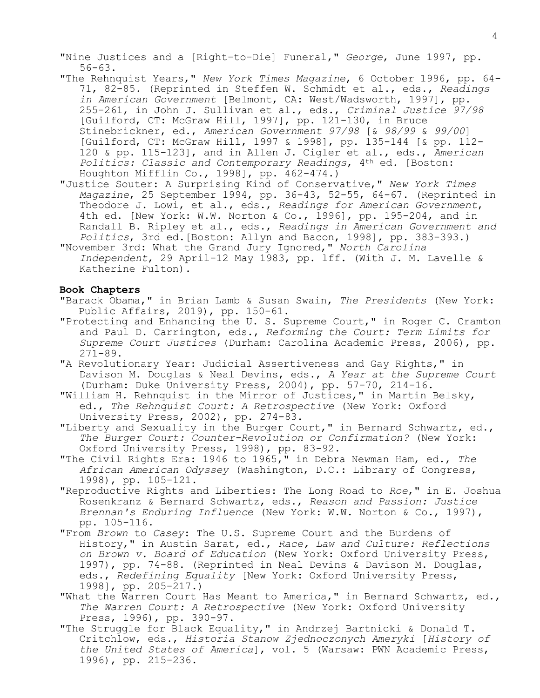"Nine Justices and a [Right-to-Die] Funeral," *George*, June 1997, pp. 56-63.

- "The Rehnquist Years," *New York Times Magazine*, 6 October 1996, pp. 64- 71, 82-85. (Reprinted in Steffen W. Schmidt et al., eds., *Readings in American Government* [Belmont, CA: West/Wadsworth, 1997], pp. 255-261, in John J. Sullivan et al., eds., *Criminal Justice 97/98* [Guilford, CT: McGraw Hill, 1997], pp. 121-130, in Bruce Stinebrickner, ed., *American Government 97/98* [& *98/99* & *99/00*] [Guilford, CT: McGraw Hill, 1997 & 1998], pp. 135-144 [& pp. 112- 120 & pp. 115-123], and in Allen J. Cigler et al., eds., *American Politics: Classic and Contemporary Readings*, 4th ed. [Boston: Houghton Mifflin Co., 1998], pp. 462-474.)
- "Justice Souter: A Surprising Kind of Conservative," *New York Times Magazine*, 25 September 1994, pp. 36-43, 52-55, 64-67. (Reprinted in Theodore J. Lowi, et al., eds., *Readings for American Government*, 4th ed. [New York: W.W. Norton & Co., 1996], pp. 195-204, and in Randall B. Ripley et al., eds., *Readings in American Government and Politics*, 3rd ed.[Boston: Allyn and Bacon, 1998], pp. 383-393.)
- "November 3rd: What the Grand Jury Ignored," *North Carolina Independent*, 29 April-12 May 1983, pp. lff. (With J. M. Lavelle & Katherine Fulton).

# **Book Chapters**

- "Barack Obama," in Brian Lamb & Susan Swain, *The Presidents* (New York: Public Affairs, 2019), pp. 150-61.
- "Protecting and Enhancing the U. S. Supreme Court," in Roger C. Cramton and Paul D. Carrington, eds., *Reforming the Court: Term Limits for Supreme Court Justices* (Durham: Carolina Academic Press, 2006), pp. 271-89.
- "A Revolutionary Year: Judicial Assertiveness and Gay Rights," in Davison M. Douglas & Neal Devins, eds., *A Year at the Supreme Court* (Durham: Duke University Press, 2004), pp. 57-70, 214-16.
- "William H. Rehnquist in the Mirror of Justices," in Martin Belsky, ed., *The Rehnquist Court: A Retrospective* (New York: Oxford University Press, 2002), pp. 274-83.
- "Liberty and Sexuality in the Burger Court," in Bernard Schwartz, ed., *The Burger Court: Counter-Revolution or Confirmation?* (New York: Oxford University Press, 1998), pp. 83-92.
- "The Civil Rights Era: 1946 to 1965," in Debra Newman Ham, ed., *The African American Odyssey* (Washington, D.C.: Library of Congress, 1998), pp. 105-121.
- **"**Reproductive Rights and Liberties: The Long Road to *Roe*," in E. Joshua Rosenkranz & Bernard Schwartz, eds., *Reason and Passion: Justice Brennan's Enduring Influence* (New York: W.W. Norton & Co., 1997), pp. 105-116.
- "From *Brown* to *Casey*: The U.S. Supreme Court and the Burdens of History," in Austin Sarat, ed., *Race, Law and Culture: Reflections on Brown v. Board of Education* (New York: Oxford University Press, 1997), pp. 74-88. (Reprinted in Neal Devins & Davison M. Douglas, eds., *Redefining Equality* [New York: Oxford University Press, 1998], pp. 205-217.)
- "What the Warren Court Has Meant to America," in Bernard Schwartz, ed., *The Warren Court: A Retrospective* (New York: Oxford University Press, 1996), pp. 390-97.
- "The Struggle for Black Equality," in Andrzej Bartnicki & Donald T. Critchlow, eds., *Historia Stanow Zjednoczonych Ameryki* [*History of the United States of America*], vol. 5 (Warsaw: PWN Academic Press, 1996), pp. 215-236.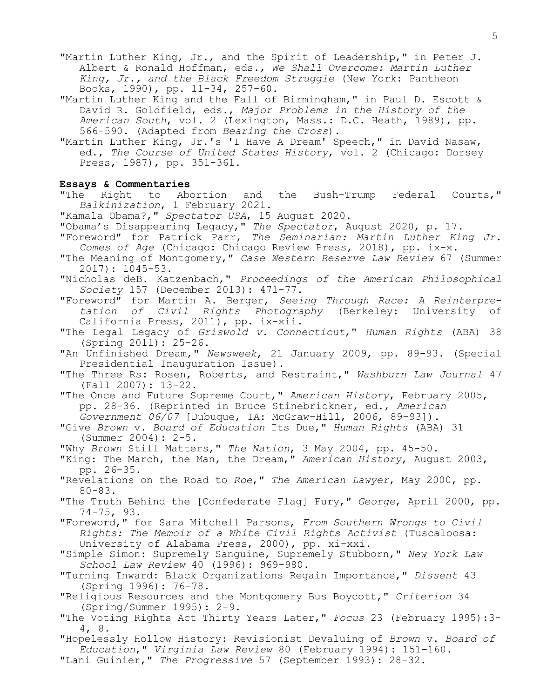- "Martin Luther King, Jr., and the Spirit of Leadership," in Peter J. Albert & Ronald Hoffman, eds., *We Shall Overcome: Martin Luther King, Jr., and the Black Freedom Struggle* (New York: Pantheon Books, 1990), pp. 11-34, 257-60.
- "Martin Luther King and the Fall of Birmingham," in Paul D. Escott & David R. Goldfield, eds., *Major Problems in the History of the American South*, vol. 2 (Lexington, Mass.: D.C. Heath, 1989), pp. 566-590. (Adapted from *Bearing the Cross*).
- "Martin Luther King, Jr.'s 'I Have A Dream' Speech," in David Nasaw, ed., *The Course of United States History*, vol. 2 (Chicago: Dorsey Press, 1987), pp. 351-361.

# **Essays & Commentaries**

"The Right to Abortion and the Bush-Trump Federal Courts," *Balkinization*, 1 February 2021.

- "Kamala Obama?," *Spectator USA*, 15 August 2020.
- "Obama's Disappearing Legacy," *The Spectator*, August 2020, p. 17.
- "Foreword" for Patrick Parr, *The Seminarian: Martin Luther King Jr. Comes of Age* (Chicago: Chicago Review Press, 2018), pp. ix-x.
- "The Meaning of Montgomery," *Case Western Reserve Law Review* 67 (Summer 2017): 1045-53.
- "Nicholas deB. Katzenbach," *Proceedings of the American Philosophical Society* 157 (December 2013): 471-77.

"Foreword" for Martin A. Berger, *Seeing Through Race: A Reinterpretation of Civil Rights Photography* (Berkeley: University of California Press, 2011), pp. ix-xii.

"The Legal Legacy of *Griswold v. Connecticut*," *Human Rights* (ABA) 38 (Spring 2011): 25-26.

"An Unfinished Dream," *Newsweek*, 21 January 2009, pp. 89-93. (Special Presidential Inauguration Issue).

"The Three Rs: Rosen, Roberts, and Restraint," *Washburn Law Journal* 47 (Fall 2007): 13-22.

"The Once and Future Supreme Court," *American History*, February 2005, pp. 28-36. (Reprinted in Bruce Stinebrickner, ed., *American Government 06/07* [Dubuque, IA: McGraw-Hill, 2006, 89-93]).

- "Give *Brown* v. *Board of Education* Its Due," *Human Rights* (ABA) 31 (Summer 2004): 2-5.
- "Why *Brown* Still Matters," *The Nation*, 3 May 2004, pp. 45-50.
- "King: The March, the Man, the Dream," *American History*, August 2003, pp. 26-35.
- "Revelations on the Road to *Roe*," *The American Lawyer*, May 2000, pp. 80-83.
- "The Truth Behind the [Confederate Flag] Fury," *George*, April 2000, pp. 74-75, 93.
- "Foreword," for Sara Mitchell Parsons, *From Southern Wrongs to Civil Rights: The Memoir of a White Civil Rights Activist* (Tuscaloosa: University of Alabama Press, 2000), pp. xi-xxi.
- "Simple Simon: Supremely Sanguine, Supremely Stubborn," *New York Law School Law Review* 40 (1996): 969-980.
- "Turning Inward: Black Organizations Regain Importance," *Dissent* 43 (Spring 1996): 76-78.
- "Religious Resources and the Montgomery Bus Boycott," *Criterion* 34 (Spring/Summer 1995): 2-9.
- "The Voting Rights Act Thirty Years Later," *Focus* 23 (February 1995):3- 4, 8.
- "Hopelessly Hollow History: Revisionist Devaluing of *Brown* v. *Board of Education*," *Virginia Law Review* 80 (February 1994): 151-160. "Lani Guinier," *The Progressive* 57 (September 1993): 28-32.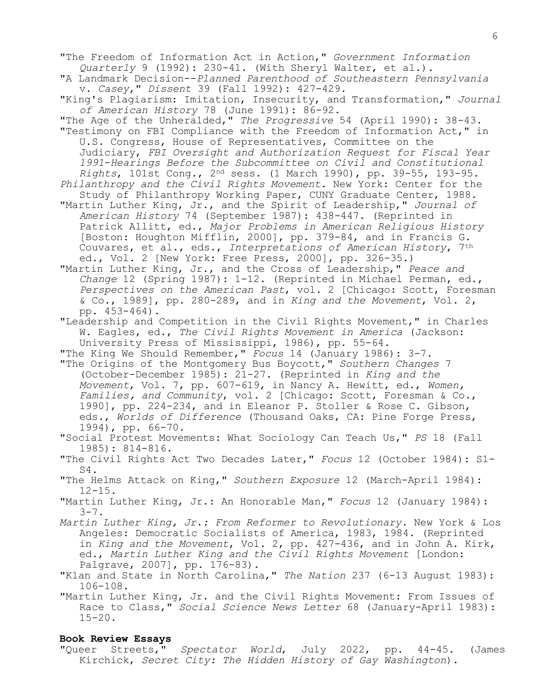- "A Landmark Decision--*Planned Parenthood of Southeastern Pennsylvania* v. *Casey*," *Dissent* 39 (Fall 1992): 427-429.
- "King's Plagiarism: Imitation, Insecurity, and Transformation," *Journal of American History* 78 (June 1991): 86-92.
- "The Age of the Unheralded," *The Progressive* 54 (April 1990): 38-43. "Testimony on FBI Compliance with the Freedom of Information Act," in U.S. Congress, House of Representatives, Committee on the
	- Judiciary, *FBI Oversight and Authorization Request for Fiscal Year 1991*-*Hearings Before the Subcommittee on Civil and Constitutional Rights*, 101st Cong., 2nd sess. (1 March 1990), pp. 39-55, 193-95.
- *Philanthropy and the Civil Rights Movement*. New York: Center for the Study of Philanthropy Working Paper, CUNY Graduate Center, 1988.
- "Martin Luther King, Jr., and the Spirit of Leadership," *Journal of American History* 74 (September 1987): 438-447. (Reprinted in Patrick Allitt, ed., *Major Problems in American Religious History* [Boston: Houghton Mifflin, 2000], pp. 379-84, and in Francis G. Couvares, et al., eds., *Interpretations of American History*, 7th ed., Vol. 2 [New York: Free Press, 2000], pp. 326-35.)
- "Martin Luther King, Jr., and the Cross of Leadership," *Peace and Change* 12 (Spring 1987): 1-12. (Reprinted in Michael Perman, ed., *Perspectives on the American Past*, vol. 2 [Chicago: Scott, Foresman & Co., 1989], pp. 280-289, and in *King and the Movement*, Vol. 2, pp. 453-464).
- "Leadership and Competition in the Civil Rights Movement," in Charles W. Eagles, ed., *The Civil Rights Movement in America* (Jackson: University Press of Mississippi, 1986), pp. 55-64.
- "The King We Should Remember," *Focus* 14 (January 1986): 3-7.
- "The Origins of the Montgomery Bus Boycott," *Southern Changes* 7 (October-December 1985): 21-27. (Reprinted in *King and the Movement*, Vol. 7, pp. 607-619, in Nancy A. Hewitt, ed., *Women, Families, and Community*, vol. 2 [Chicago: Scott, Foresman & Co., 1990], pp. 224-234, and in Eleanor P. Stoller & Rose C. Gibson, eds., *Worlds of Difference* (Thousand Oaks, CA: Pine Forge Press, 1994), pp. 66-70.
- "Social Protest Movements: What Sociology Can Teach Us," *PS* 18 (Fall 1985): 814-816.
- "The Civil Rights Act Two Decades Later," *Focus* 12 (October 1984): S1- S4.
- "The Helms Attack on King," *Southern Exposure* 12 (March-April 1984): 12-15.
- "Martin Luther King, Jr.: An Honorable Man," *Focus* 12 (January 1984):  $3 - 7$ .
- *Martin Luther King, Jr.: From Reformer to Revolutionary*. New York & Los Angeles: Democratic Socialists of America, 1983, 1984. (Reprinted in *King and the Movement*, Vol. 2, pp. 427-436, and in John A. Kirk, ed., *Martin Luther King and the Civil Rights Movement* [London: Palgrave, 2007], pp. 176-83).
- "Klan and State in North Carolina," *The Nation* 237 (6-13 August 1983): 106-108.

"Martin Luther King, Jr. and the Civil Rights Movement: From Issues of Race to Class," *Social Science News Letter* 68 (January-April 1983): 15-20.

### **Book Review Essays**

"Queer Streets," *Spectator World*, July 2022, pp. 44-45. (James Kirchick, *Secret City: The Hidden History of Gay Washington*).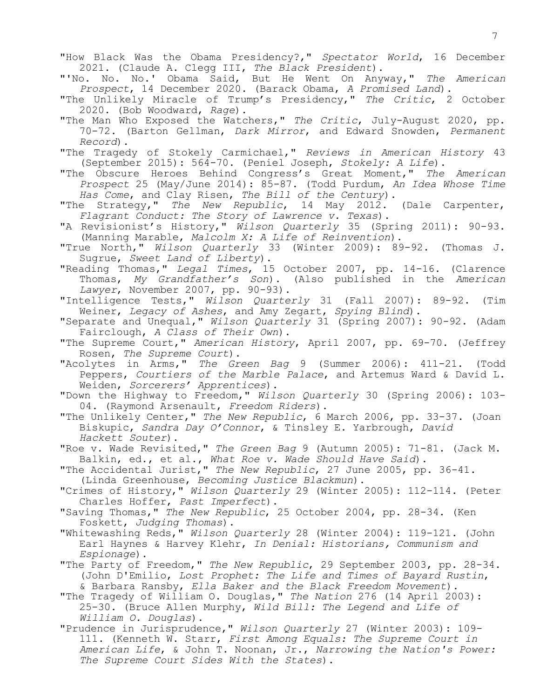"How Black Was the Obama Presidency?," *Spectator World*, 16 December 2021. (Claude A. Clegg III, *The Black President*).

- "'No. No. No.' Obama Said, But He Went On Anyway," *The American Prospect*, 14 December 2020. (Barack Obama, *A Promised Land*).
- "The Unlikely Miracle of Trump's Presidency," *The Critic*, 2 October 2020. (Bob Woodward, *Rage*).
- "The Man Who Exposed the Watchers," *The Critic*, July-August 2020, pp. 70-72. (Barton Gellman, *Dark Mirror*, and Edward Snowden, *Permanent Record*).
- "The Tragedy of Stokely Carmichael," *Reviews in American History* 43 (September 2015): 564-70. (Peniel Joseph, *Stokely: A Life*).
- "The Obscure Heroes Behind Congress's Great Moment," *The American Prospect* 25 (May/June 2014): 85-87. (Todd Purdum, *An Idea Whose Time Has Come*, and Clay Risen, *The Bill of the Century*).
- "The Strategy," *The New Republic*, 14 May 2012. (Dale Carpenter, *Flagrant Conduct: The Story of Lawrence v. Texas*).
- "A Revisionist's History," *Wilson Quarterly* 35 (Spring 2011): 90-93. (Manning Marable, *Malcolm X: A Life of Reinvention*).
- "True North," *Wilson Quarterly* 33 (Winter 2009): 89-92. (Thomas J. Sugrue, *Sweet Land of Liberty*).
- **"**Reading Thomas," *Legal Times*, 15 October 2007, pp. 14-16. (Clarence Thomas, *My Grandfather's Son*). (Also published in the *American Lawyer*, November 2007, pp. 90-93).
- "Intelligence Tests," *Wilson Quarterly* 31 (Fall 2007): 89-92. (Tim Weiner, *Legacy of Ashes*, and Amy Zegart, *Spying Blind*).
- "Separate and Unequal," *Wilson Quarterly* 31 (Spring 2007): 90-92. (Adam Fairclough, *A Class of Their Own*).
- "The Supreme Court," *American History*, April 2007, pp. 69-70. (Jeffrey Rosen, *The Supreme Court*).
- "Acolytes in Arms," *The Green Bag* 9 (Summer 2006): 411-21. (Todd Peppers, *Courtiers of the Marble Palace*, and Artemus Ward & David L. Weiden, *Sorcerers' Apprentices*).
- "Down the Highway to Freedom," *Wilson Quarterly* 30 (Spring 2006): 103- 04. (Raymond Arsenault, *Freedom Riders*).
- "The Unlikely Center," *The New Republic*, 6 March 2006, pp. 33-37. (Joan Biskupic, *Sandra Day O'Connor*, & Tinsley E. Yarbrough, *David Hackett Souter*).
- "Roe v. Wade Revisited," *The Green Bag* 9 (Autumn 2005): 71-81. (Jack M. Balkin, ed., et al., *What Roe v. Wade Should Have Said*).
- "The Accidental Jurist," *The New Republic*, 27 June 2005, pp. 36-41. (Linda Greenhouse, *Becoming Justice Blackmun*).
- "Crimes of History," *Wilson Quarterly* 29 (Winter 2005): 112-114. (Peter Charles Hoffer, *Past Imperfect*).
- "Saving Thomas," *The New Republic*, 25 October 2004, pp. 28-34. (Ken Foskett, *Judging Thomas*).
- "Whitewashing Reds," *Wilson Quarterly* 28 (Winter 2004): 119-121. (John Earl Haynes & Harvey Klehr, *In Denial: Historians, Communism and Espionage*).
- "The Party of Freedom," *The New Republic*, 29 September 2003, pp. 28-34. (John D'Emilio, *Lost Prophet: The Life and Times of Bayard Rustin*, & Barbara Ransby, *Ella Baker and the Black Freedom Movement*).
- "The Tragedy of William O. Douglas," *The Nation* 276 (14 April 2003): 25-30. (Bruce Allen Murphy, *Wild Bill: The Legend and Life of William O. Douglas*).
- "Prudence in Jurisprudence," *Wilson Quarterly* 27 (Winter 2003): 109- 111. (Kenneth W. Starr, *First Among Equals: The Supreme Court in American Life*, & John T. Noonan, Jr., *Narrowing the Nation's Power: The Supreme Court Sides With the States*).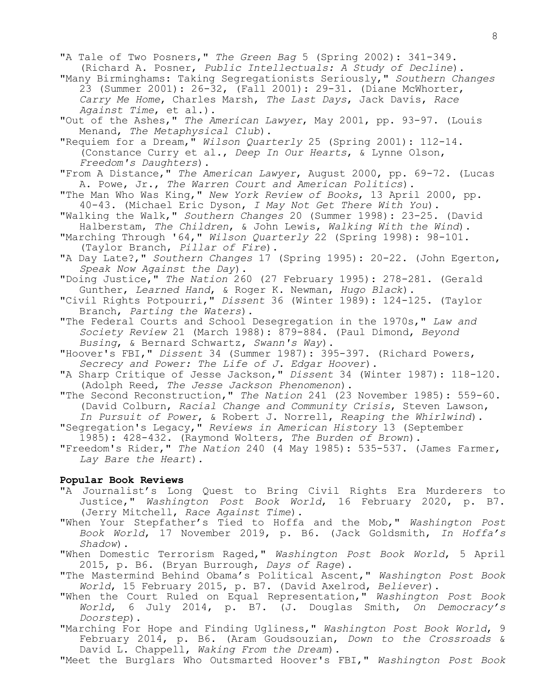"A Tale of Two Posners," *The Green Bag* 5 (Spring 2002): 341-349. (Richard A. Posner, *Public Intellectuals: A Study of Decline*). "Many Birminghams: Taking Segregationists Seriously," *Southern Changes* 23 (Summer 2001): 26-32, (Fall 2001): 29-31. (Diane McWhorter, *Carry Me Home*, Charles Marsh, *The Last Days*, Jack Davis, *Race Against Time*, et al.). "Out of the Ashes," *The American Lawyer*, May 2001, pp. 93-97. (Louis Menand, *The Metaphysical Club*). "Requiem for a Dream," *Wilson Quarterly* 25 (Spring 2001): 112-14. (Constance Curry et al., *Deep In Our Hearts*, & Lynne Olson, *Freedom's Daughters*). "From A Distance," *The American Lawyer*, August 2000, pp. 69-72. (Lucas A. Powe, Jr., *The Warren Court and American Politics*). "The Man Who Was King," *New York Review of Books*, 13 April 2000, pp. 40-43. (Michael Eric Dyson, *I May Not Get There With You*). "Walking the Walk," *Southern Changes* 20 (Summer 1998): 23-25. (David Halberstam, *The Children*, & John Lewis, *Walking With the Wind*). "Marching Through '64," *Wilson Quarterly* 22 (Spring 1998): 98-101. (Taylor Branch, *Pillar of Fire*). "A Day Late?," *Southern Changes* 17 (Spring 1995): 20-22. (John Egerton, *Speak Now Against the Day*). "Doing Justice," *The Nation* 260 (27 February 1995): 278-281. (Gerald Gunther, *Learned Hand*, & Roger K. Newman, *Hugo Black*). "Civil Rights Potpourri," *Dissent* 36 (Winter 1989): 124-125. (Taylor Branch, *Parting the Waters*). "The Federal Courts and School Desegregation in the 1970s," *Law and Society Review* 21 (March 1988): 879-884. (Paul Dimond, *Beyond Busing*, & Bernard Schwartz, *Swann's Way*). "Hoover's FBI," *Dissent* 34 (Summer 1987): 395-397. (Richard Powers, *Secrecy and Power: The Life of J. Edgar Hoover*). "A Sharp Critique of Jesse Jackson," *Dissent* 34 (Winter 1987): 118-120. (Adolph Reed, *The Jesse Jackson Phenomenon*). "The Second Reconstruction," *The Nation* 241 (23 November 1985): 559-60. (David Colburn, *Racial Change and Community Crisis*, Steven Lawson, *In Pursuit of Power*, & Robert J. Norrell, *Reaping the Whirlwind*). "Segregation's Legacy," *Reviews in American History* 13 (September 1985): 428-432. (Raymond Wolters, *The Burden of Brown*). "Freedom's Rider," *The Nation* 240 (4 May 1985): 535-537. (James Farmer, *Lay Bare the Heart*). **Popular Book Reviews** "A Journalist's Long Quest to Bring Civil Rights Era Murderers to Justice," *Washington Post Book World*, 16 February 2020, p. B7. (Jerry Mitchell, *Race Against Time*). "When Your Stepfather's Tied to Hoffa and the Mob," *Washington Post Book World*, 17 November 2019, p. B6. (Jack Goldsmith, *In Hoffa's Shadow*).

"When Domestic Terrorism Raged," *Washington Post Book World*, 5 April 2015, p. B6. (Bryan Burrough, *Days of Rage*).

"The Mastermind Behind Obama's Political Ascent," *Washington Post Book World*, 15 February 2015, p. B7. (David Axelrod, *Believer*).

"When the Court Ruled on Equal Representation," *Washington Post Book World*, 6 July 2014, p. B7. (J. Douglas Smith, *On Democracy's Doorstep*).

"Marching For Hope and Finding Ugliness," *Washington Post Book World*, 9 February 2014, p. B6. (Aram Goudsouzian, *Down to the Crossroads* & David L. Chappell, *Waking From the Dream*).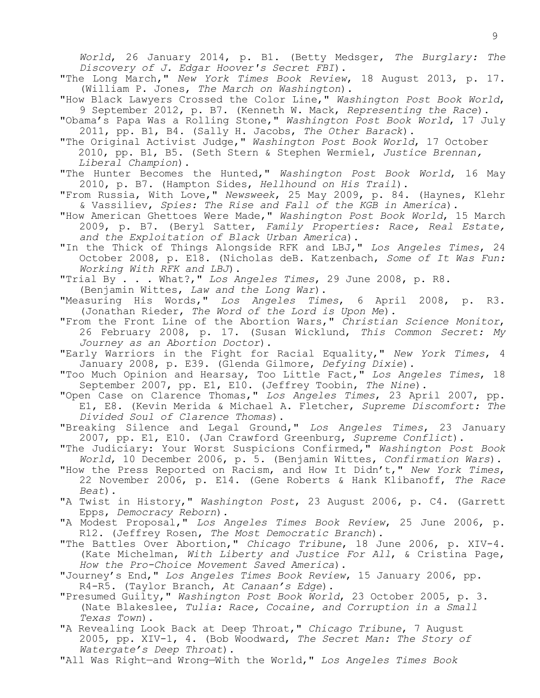*World*, 26 January 2014, p. B1. (Betty Medsger, *The Burglary: The Discovery of J. Edgar Hoover's Secret FBI*).

"The Long March," *New York Times Book Review*, 18 August 2013, p. 17. (William P. Jones, *The March on Washington*).

"How Black Lawyers Crossed the Color Line," *Washington Post Book World*, 9 September 2012, p. B7. (Kenneth W. Mack, *Representing the Race*).

"Obama's Papa Was a Rolling Stone," *Washington Post Book World*, 17 July 2011, pp. B1, B4. (Sally H. Jacobs, *The Other Barack*).

**"**The Original Activist Judge," *Washington Post Book World*, 17 October 2010, pp. B1, B5. (Seth Stern & Stephen Wermiel, *Justice Brennan, Liberal Champion*).

"The Hunter Becomes the Hunted," *Washington Post Book World*, 16 May 2010, p. B7. (Hampton Sides, *Hellhound on His Trail*).

"From Russia, With Love," *Newsweek*, 25 May 2009, p. 84. (Haynes, Klehr & Vassiliev, *Spies: The Rise and Fall of the KGB in America*).

"How American Ghettoes Were Made," *Washington Post Book World*, 15 March 2009, p. B7. (Beryl Satter, *Family Properties: Race, Real Estate, and the Exploitation of Black Urban America*).

"In the Thick of Things Alongside RFK and LBJ," *Los Angeles Times*, 24 October 2008, p. E18. (Nicholas deB. Katzenbach, *Some of It Was Fun: Working With RFK and LBJ*).

"Trial By . . . What?," *Los Angeles Times*, 29 June 2008, p. R8.

(Benjamin Wittes, *Law and the Long War*).

"Measuring His Words," *Los Angeles Times*, 6 April 2008, p. R3. (Jonathan Rieder, *The Word of the Lord is Upon Me*).

"From the Front Line of the Abortion Wars," *Christian Science Monitor*, 26 February 2008, p. 17. (Susan Wicklund, *This Common Secret: My Journey as an Abortion Doctor*).

"Early Warriors in the Fight for Racial Equality," *New York Times*, 4 January 2008, p. E39. (Glenda Gilmore, *Defying Dixie*).

"Too Much Opinion and Hearsay, Too Little Fact," *Los Angeles Times*, 18 September 2007, pp. E1, E10. (Jeffrey Toobin, *The Nine*).

"Open Case on Clarence Thomas," *Los Angeles Times*, 23 April 2007, pp. E1, E8. (Kevin Merida & Michael A. Fletcher, *Supreme Discomfort: The Divided Soul of Clarence Thomas*).

"Breaking Silence and Legal Ground," *Los Angeles Times*, 23 January 2007, pp. E1, E10. (Jan Crawford Greenburg, *Supreme Conflict*).

"The Judiciary: Your Worst Suspicions Confirmed," *Washington Post Book World*, 10 December 2006, p. 5. (Benjamin Wittes, *Confirmation Wars*).

"How the Press Reported on Racism, and How It Didn't," *New York Times*, 22 November 2006, p. E14. (Gene Roberts & Hank Klibanoff, *The Race Beat*).

"A Twist in History," *Washington Post*, 23 August 2006, p. C4. (Garrett Epps, *Democracy Reborn*).

"A Modest Proposal," *Los Angeles Times Book Review*, 25 June 2006, p. R12. (Jeffrey Rosen, *The Most Democratic Branch*).

"The Battles Over Abortion," *Chicago Tribune*, 18 June 2006, p. XIV-4. (Kate Michelman, *With Liberty and Justice For All*, & Cristina Page, *How the Pro-Choice Movement Saved America*).

"Journey's End," *Los Angeles Times Book Review*, 15 January 2006, pp. R4-R5. (Taylor Branch, *At Canaan's Edge*).

"Presumed Guilty," *Washington Post Book World*, 23 October 2005, p. 3. (Nate Blakeslee, *Tulia: Race, Cocaine, and Corruption in a Small Texas Town*).

"A Revealing Look Back at Deep Throat," *Chicago Tribune*, 7 August 2005, pp. XIV-1, 4. (Bob Woodward, *The Secret Man: The Story of Watergate's Deep Throat*).

"All Was Right—and Wrong—With the World," *Los Angeles Times Book*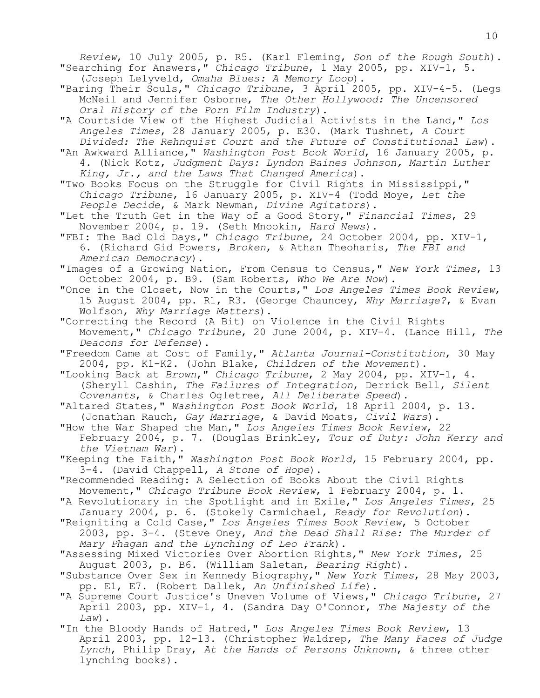*Review*, 10 July 2005, p. R5. (Karl Fleming, *Son of the Rough South*). "Searching for Answers," *Chicago Tribune*, 1 May 2005, pp. XIV-1, 5. (Joseph Lelyveld, *Omaha Blues: A Memory Loop*).

- "Baring Their Souls," *Chicago Tribune*, 3 April 2005, pp. XIV-4-5. (Legs McNeil and Jennifer Osborne, *The Other Hollywood: The Uncensored Oral History of the Porn Film Industry*).
- "A Courtside View of the Highest Judicial Activists in the Land," *Los Angeles Times*, 28 January 2005, p. E30. (Mark Tushnet, *A Court Divided: The Rehnquist Court and the Future of Constitutional Law*).
- "An Awkward Alliance," *Washington Post Book World*, 16 January 2005, p. 4. (Nick Kotz, *Judgment Days: Lyndon Baines Johnson, Martin Luther King, Jr., and the Laws That Changed America*).
- "Two Books Focus on the Struggle for Civil Rights in Mississippi," *Chicago Tribune*, 16 January 2005, p. XIV-4 (Todd Moye, *Let the People Decide*, & Mark Newman, *Divine Agitators*).
- "Let the Truth Get in the Way of a Good Story," *Financial Times*, 29 November 2004, p. 19. (Seth Mnookin, *Hard News*).
- "FBI: The Bad Old Days," *Chicago Tribune*, 24 October 2004, pp. XIV-1, 6. (Richard Gid Powers, *Broken*, & Athan Theoharis, *The FBI and American Democracy*).
- "Images of a Growing Nation, From Census to Census," *New York Times*, 13 October 2004, p. B9. (Sam Roberts, *Who We Are Now*).
- "Once in the Closet, Now in the Courts," *Los Angeles Times Book Review*, 15 August 2004, pp. R1, R3. (George Chauncey, *Why Marriage?*, & Evan Wolfson, *Why Marriage Matters*).
- "Correcting the Record (A Bit) on Violence in the Civil Rights Movement," *Chicago Tribune*, 20 June 2004, p. XIV-4. (Lance Hill, *The Deacons for Defense*).
- "Freedom Came at Cost of Family," *Atlanta Journal-Constitution*, 30 May 2004, pp. K1-K2. (John Blake, *Children of the Movement*).
- "Looking Back at *Brown*," *Chicago Tribune*, 2 May 2004, pp. XIV-1, 4. (Sheryll Cashin, *The Failures of Integration*, Derrick Bell, *Silent Covenants*, & Charles Ogletree, *All Deliberate Speed*).
- "Altared States," *Washington Post Book World*, 18 April 2004, p. 13. (Jonathan Rauch, *Gay Marriage*, & David Moats, *Civil Wars*).
- "How the War Shaped the Man," *Los Angeles Times Book Review*, 22 February 2004, p. 7. (Douglas Brinkley, *Tour of Duty: John Kerry and the Vietnam War*).
- "Keeping the Faith," *Washington Post Book World*, 15 February 2004, pp. 3-4. (David Chappell, *A Stone of Hope*).
- "Recommended Reading: A Selection of Books About the Civil Rights Movement," *Chicago Tribune Book Review*, 1 February 2004, p. 1.
- "A Revolutionary in the Spotlight and in Exile," *Los Angeles Times*, 25 January 2004, p. 6. (Stokely Carmichael, *Ready for Revolution*).
- "Reigniting a Cold Case," *Los Angeles Times Book Review*, 5 October 2003, pp. 3-4. (Steve Oney, *And the Dead Shall Rise: The Murder of Mary Phagan and the Lynching of Leo Frank*).
- "Assessing Mixed Victories Over Abortion Rights," *New York Times*, 25 August 2003, p. B6. (William Saletan, *Bearing Right*).
- "Substance Over Sex in Kennedy Biography," *New York Times*, 28 May 2003, pp. E1, E7. (Robert Dallek, *An Unfinished Life*).
- "A Supreme Court Justice's Uneven Volume of Views," *Chicago Tribune*, 27 April 2003, pp. XIV-1, 4. (Sandra Day O'Connor, *The Majesty of the Law*).
- "In the Bloody Hands of Hatred," *Los Angeles Times Book Review*, 13 April 2003, pp. 12-13. (Christopher Waldrep, *The Many Faces of Judge Lynch*, Philip Dray, *At the Hands of Persons Unknown*, & three other lynching books).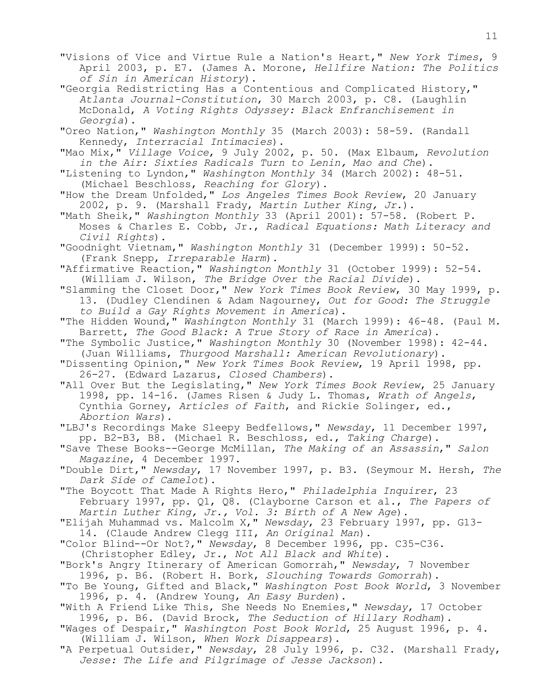"Visions of Vice and Virtue Rule a Nation's Heart," *New York Times*, 9 April 2003, p. E7. (James A. Morone, *Hellfire Nation: The Politics of Sin in American History*).

"Georgia Redistricting Has a Contentious and Complicated History," *Atlanta Journal-Constitution*, 30 March 2003, p. C8. (Laughlin McDonald, *A Voting Rights Odyssey: Black Enfranchisement in Georgia*).

"Oreo Nation," *Washington Monthly* 35 (March 2003): 58-59. (Randall Kennedy, *Interracial Intimacies*).

"Mao Mix," *Village Voice*, 9 July 2002, p. 50. (Max Elbaum, *Revolution in the Air: Sixties Radicals Turn to Lenin, Mao and Che*).

"Listening to Lyndon," *Washington Monthly* 34 (March 2002): 48-51. (Michael Beschloss, *Reaching for Glory*).

"How the Dream Unfolded," *Los Angeles Times Book Review*, 20 January 2002, p. 9. (Marshall Frady, *Martin Luther King, Jr.*).

"Math Sheik," *Washington Monthly* 33 (April 2001): 57-58. (Robert P. Moses & Charles E. Cobb, Jr., *Radical Equations: Math Literacy and Civil Rights*).

"Goodnight Vietnam," *Washington Monthly* 31 (December 1999): 50-52. (Frank Snepp, *Irreparable Harm*).

"Affirmative Reaction," *Washington Monthly* 31 (October 1999): 52-54. (William J. Wilson, *The Bridge Over the Racial Divide*).

"Slamming the Closet Door," *New York Times Book Review*, 30 May 1999, p. 13. (Dudley Clendinen & Adam Nagourney, *Out for Good: The Struggle to Build a Gay Rights Movement in America*).

"The Hidden Wound," *Washington Monthly* 31 (March 1999): 46-48. (Paul M. Barrett, *The Good Black: A True Story of Race in America*).

"The Symbolic Justice," *Washington Monthly* 30 (November 1998): 42-44. (Juan Williams, *Thurgood Marshall: American Revolutionary*).

"Dissenting Opinion," *New York Times Book Review*, 19 April 1998, pp. 26-27. (Edward Lazarus, *Closed Chambers*).

"All Over But the Legislating," *New York Times Book Review*, 25 January 1998, pp. 14-16. (James Risen & Judy L. Thomas, *Wrath of Angels*, Cynthia Gorney, *Articles of Faith*, and Rickie Solinger, ed., *Abortion Wars*).

"LBJ's Recordings Make Sleepy Bedfellows," *Newsday*, 11 December 1997, pp. B2-B3, B8. (Michael R. Beschloss, ed., *Taking Charge*).

"Save These Books--George McMillan, *The Making of an Assassin*," *Salon Magazine*, 4 December 1997.

"Double Dirt," *Newsday*, 17 November 1997, p. B3. (Seymour M. Hersh, *The Dark Side of Camelot*).

"The Boycott That Made A Rights Hero," *Philadelphia Inquirer*, 23 February 1997, pp. Q1, Q8. (Clayborne Carson et al., *The Papers of Martin Luther King, Jr., Vol. 3: Birth of A New Age*).

"Elijah Muhammad vs. Malcolm X," *Newsday*, 23 February 1997, pp. G13-

14. (Claude Andrew Clegg III, *An Original Man*).

"Color Blind--Or Not?," *Newsday*, 8 December 1996, pp. C35-C36.

(Christopher Edley, Jr., *Not All Black and White*).

"Bork's Angry Itinerary of American Gomorrah," *Newsday*, 7 November 1996, p. B6. (Robert H. Bork, *Slouching Towards Gomorrah*).

"To Be Young, Gifted and Black," *Washington Post Book World*, 3 November 1996, p. 4. (Andrew Young, *An Easy Burden*).

"With A Friend Like This, She Needs No Enemies," *Newsday*, 17 October 1996, p. B6. (David Brock, *The Seduction of Hillary Rodham*).

"Wages of Despair," *Washington Post Book World*, 25 August 1996, p. 4. (William J. Wilson, *When Work Disappears*).

"A Perpetual Outsider," *Newsday*, 28 July 1996, p. C32. (Marshall Frady, *Jesse: The Life and Pilgrimage of Jesse Jackson*).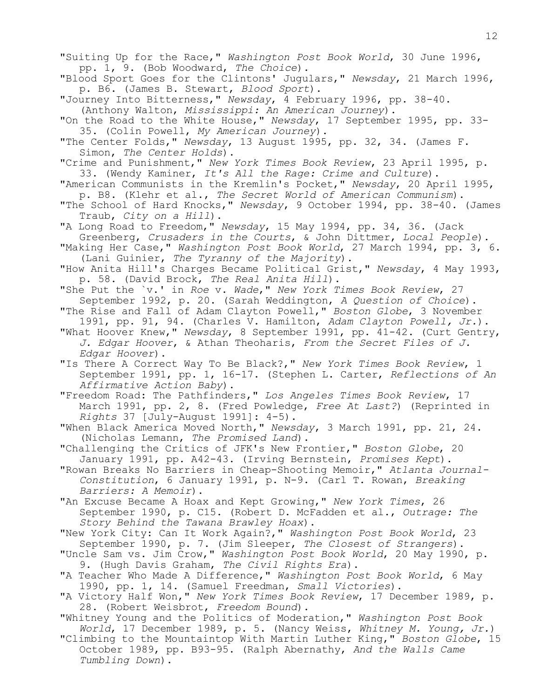"Suiting Up for the Race," *Washington Post Book World*, 30 June 1996, pp. 1, 9. (Bob Woodward, *The Choice*). "Blood Sport Goes for the Clintons' Jugulars," *Newsday*, 21 March 1996, p. B6. (James B. Stewart, *Blood Sport*). "Journey Into Bitterness," *Newsday*, 4 February 1996, pp. 38-40. (Anthony Walton, *Mississippi: An American Journey*). "On the Road to the White House," *Newsday*, 17 September 1995, pp. 33- 35. (Colin Powell, *My American Journey*). "The Center Folds," *Newsday*, 13 August 1995, pp. 32, 34. (James F. Simon, *The Center Holds*). "Crime and Punishment," *New York Times Book Review*, 23 April 1995, p. 33. (Wendy Kaminer, *It's All the Rage: Crime and Culture*). "American Communists in the Kremlin's Pocket," *Newsday*, 20 April 1995, p. B8. (Klehr et al., *The Secret World of American Communism*). "The School of Hard Knocks," *Newsday*, 9 October 1994, pp. 38-40. (James Traub, *City on a Hill*). "A Long Road to Freedom," *Newsday*, 15 May 1994, pp. 34, 36. (Jack Greenberg, *Crusaders in the Courts*, & John Dittmer, *Local People*). "Making Her Case," *Washington Post Book World*, 27 March 1994, pp. 3, 6. (Lani Guinier, *The Tyranny of the Majority*). "How Anita Hill's Charges Became Political Grist," *Newsday*, 4 May 1993, p. 58. (David Brock, *The Real Anita Hill*). "She Put the `v.' in *Roe* v. *Wade*," *New York Times Book Review*, 27 September 1992, p. 20. (Sarah Weddington, *A Question of Choice*). "The Rise and Fall of Adam Clayton Powell," *Boston Globe*, 3 November 1991, pp. 91, 94. (Charles V. Hamilton, *Adam Clayton Powell, Jr.*). "What Hoover Knew," *Newsday*, 8 September 1991, pp. 41-42. (Curt Gentry, *J. Edgar Hoover*, & Athan Theoharis, *From the Secret Files of J. Edgar Hoover*). "Is There A Correct Way To Be Black?," *New York Times Book Review*, 1 September 1991, pp. 1, 16-17. (Stephen L. Carter, *Reflections of An Affirmative Action Baby*). "Freedom Road: The Pathfinders," *Los Angeles Times Book Review*, 17 March 1991, pp. 2, 8. (Fred Powledge, *Free At Last?*) (Reprinted in *Rights* 37 [July-August 1991]: 4-5). "When Black America Moved North," *Newsday*, 3 March 1991, pp. 21, 24. (Nicholas Lemann, *The Promised Land*). "Challenging the Critics of JFK's New Frontier," *Boston Globe*, 20 January 1991, pp. A42-43. (Irving Bernstein, *Promises Kept*). "Rowan Breaks No Barriers in Cheap-Shooting Memoir," *Atlanta Journal-Constitution*, 6 January 1991, p. N-9. (Carl T. Rowan, *Breaking Barriers: A Memoir*). "An Excuse Became A Hoax and Kept Growing," *New York Times*, 26 September 1990, p. C15. (Robert D. McFadden et al., *Outrage: The Story Behind the Tawana Brawley Hoax*). "New York City: Can It Work Again?," *Washington Post Book World*, 23 September 1990, p. 7. (Jim Sleeper, *The Closest of Strangers*). "Uncle Sam vs. Jim Crow," *Washington Post Book World*, 20 May 1990, p. 9. (Hugh Davis Graham, *The Civil Rights Era*). "A Teacher Who Made A Difference," *Washington Post Book World*, 6 May 1990, pp. 1, 14. (Samuel Freedman, *Small Victories*). "A Victory Half Won," *New York Times Book Review*, 17 December 1989, p. 28. (Robert Weisbrot, *Freedom Bound*). "Whitney Young and the Politics of Moderation," *Washington Post Book World*, 17 December 1989, p. 5. (Nancy Weiss, *Whitney M. Young, Jr.*)

"Climbing to the Mountaintop With Martin Luther King," *Boston Globe*, 15 October 1989, pp. B93-95. (Ralph Abernathy, *And the Walls Came Tumbling Down*).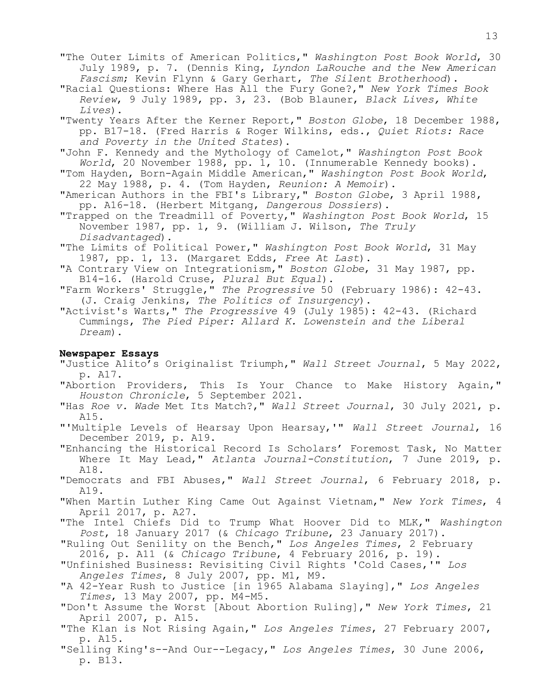"The Outer Limits of American Politics," *Washington Post Book World*, 30 July 1989, p. 7. (Dennis King, *Lyndon LaRouche and the New American Fascism*; Kevin Flynn & Gary Gerhart, *The Silent Brotherhood*).

"Racial Questions: Where Has All the Fury Gone?," *New York Times Book Review*, 9 July 1989, pp. 3, 23. (Bob Blauner, *Black Lives, White Lives*).

"Twenty Years After the Kerner Report," *Boston Globe*, 18 December 1988, pp. B17-18. (Fred Harris & Roger Wilkins, eds., *Quiet Riots: Race and Poverty in the United States*).

"John F. Kennedy and the Mythology of Camelot," *Washington Post Book World*, 20 November 1988, pp. 1, 10. (Innumerable Kennedy books).

"Tom Hayden, Born-Again Middle American," *Washington Post Book World*, 22 May 1988, p. 4. (Tom Hayden, *Reunion: A Memoir*).

"American Authors in the FBI's Library," *Boston Globe*, 3 April 1988, pp. A16-18. (Herbert Mitgang, *Dangerous Dossiers*).

"Trapped on the Treadmill of Poverty," *Washington Post Book World*, 15 November 1987, pp. 1, 9. (William J. Wilson, *The Truly Disadvantaged*).

"The Limits of Political Power," *Washington Post Book World*, 31 May 1987, pp. 1, 13. (Margaret Edds, *Free At Last*).

"A Contrary View on Integrationism," *Boston Globe*, 31 May 1987, pp. B14-16. (Harold Cruse, *Plural But Equal*).

"Farm Workers' Struggle," *The Progressive* 50 (February 1986): 42-43. (J. Craig Jenkins, *The Politics of Insurgency*).

"Activist's Warts," *The Progressive* 49 (July 1985): 42-43. (Richard Cummings, *The Pied Piper: Allard K. Lowenstein and the Liberal Dream*).

# **Newspaper Essays**

"Justice Alito's Originalist Triumph," *Wall Street Journal*, 5 May 2022, p. A17.

"Abortion Providers, This Is Your Chance to Make History Again," *Houston Chronicle*, 5 September 2021.

"Has *Roe v. Wade* Met Its Match?," *Wall Street Journal*, 30 July 2021, p. A15.

"'Multiple Levels of Hearsay Upon Hearsay,'" *Wall Street Journal*, 16 December 2019, p. A19.

"Enhancing the Historical Record Is Scholars' Foremost Task, No Matter Where It May Lead," *Atlanta Journal-Constitution*, 7 June 2019, p. A18.

"Democrats and FBI Abuses," *Wall Street Journal*, 6 February 2018, p. A19.

"When Martin Luther King Came Out Against Vietnam," *New York Times*, 4 April 2017, p. A27.

"The Intel Chiefs Did to Trump What Hoover Did to MLK," *Washington Post*, 18 January 2017 (& *Chicago Tribune*, 23 January 2017).

 "Ruling Out Senility on the Bench," *Los Angeles Times*, 2 February 2016, p. A11 (& *Chicago Tribune*, 4 February 2016, p. 19).

 "Unfinished Business: Revisiting Civil Rights 'Cold Cases,'" *Los Angeles Times*, 8 July 2007, pp. M1, M9.

 "A 42-Year Rush to Justice [in 1965 Alabama Slaying]," *Los Angeles Times*, 13 May 2007, pp. M4-M5.

 "Don't Assume the Worst [About Abortion Ruling]," *New York Times*, 21 April 2007, p. A15.

 "The Klan is Not Rising Again," *Los Angeles Times*, 27 February 2007, p. A15.

 "Selling King's--And Our--Legacy," *Los Angeles Times*, 30 June 2006, p. B13.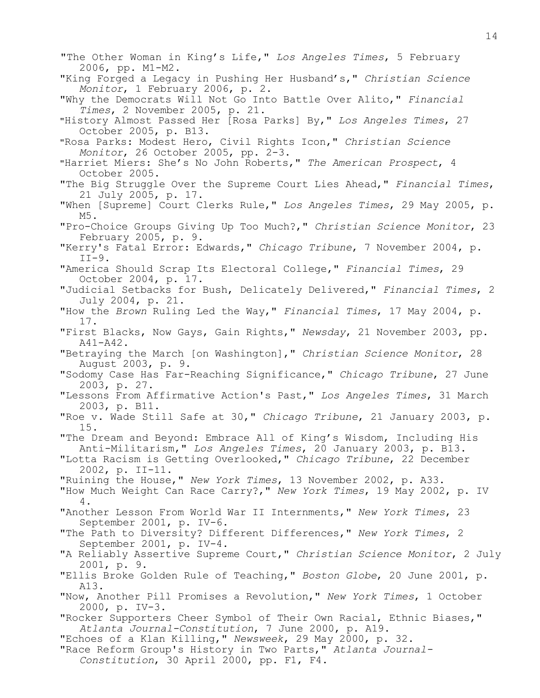"The Other Woman in King's Life," *Los Angeles Times*, 5 February 2006, pp. M1-M2. "King Forged a Legacy in Pushing Her Husband's," *Christian Science Monitor*, 1 February 2006, p. 2. "Why the Democrats Will Not Go Into Battle Over Alito," *Financial Times*, 2 November 2005, p. 21. "History Almost Passed Her [Rosa Parks] By," *Los Angeles Times*, 27 October 2005, p. B13. "Rosa Parks: Modest Hero, Civil Rights Icon," *Christian Science Monitor*, 26 October 2005, pp. 2-3. "Harriet Miers: She's No John Roberts," *The American Prospect*, 4 October 2005. "The Big Struggle Over the Supreme Court Lies Ahead," *Financial Times*, 21 July 2005, p. 17. "When [Supreme] Court Clerks Rule," *Los Angeles Times*, 29 May 2005, p. M5. "Pro-Choice Groups Giving Up Too Much?," *Christian Science Monitor*, 23 February 2005, p. 9. "Kerry's Fatal Error: Edwards," *Chicago Tribune*, 7 November 2004, p.  $II-9$ . "America Should Scrap Its Electoral College," *Financial Times*, 29 October 2004, p. 17. "Judicial Setbacks for Bush, Delicately Delivered," *Financial Times*, 2 July 2004, p. 21. "How the *Brown* Ruling Led the Way," *Financial Times*, 17 May 2004, p. 17. "First Blacks, Now Gays, Gain Rights," *Newsday*, 21 November 2003, pp. A41-A42. "Betraying the March [on Washington]," *Christian Science Monitor*, 28 August 2003, p. 9. "Sodomy Case Has Far-Reaching Significance," *Chicago Tribune*, 27 June 2003, p. 27. "Lessons From Affirmative Action's Past," *Los Angeles Times*, 31 March 2003, p. B11. "Roe v. Wade Still Safe at 30," *Chicago Tribune*, 21 January 2003, p. 15. "The Dream and Beyond: Embrace All of King's Wisdom, Including His Anti-Militarism," *Los Angeles Times*, 20 January 2003, p. B13. "Lotta Racism is Getting Overlooked," *Chicago Tribune*, 22 December 2002, p. II-11. "Ruining the House," *New York Times*, 13 November 2002, p. A33. "How Much Weight Can Race Carry?," *New York Times*, 19 May 2002, p. IV 4. "Another Lesson From World War II Internments," *New York Times*, 23 September 2001, p. IV-6. "The Path to Diversity? Different Differences," *New York Times*, 2 September 2001, p. IV-4. "A Reliably Assertive Supreme Court," *Christian Science Monitor*, 2 July 2001, p. 9. "Ellis Broke Golden Rule of Teaching," *Boston Globe*, 20 June 2001, p. A13. "Now, Another Pill Promises a Revolution," *New York Times*, 1 October 2000, p. IV-3. "Rocker Supporters Cheer Symbol of Their Own Racial, Ethnic Biases," *Atlanta Journal-Constitution*, 7 June 2000, p. A19. "Echoes of a Klan Killing," *Newsweek*, 29 May 2000, p. 32. "Race Reform Group's History in Two Parts," *Atlanta Journal-Constitution*, 30 April 2000, pp. F1, F4.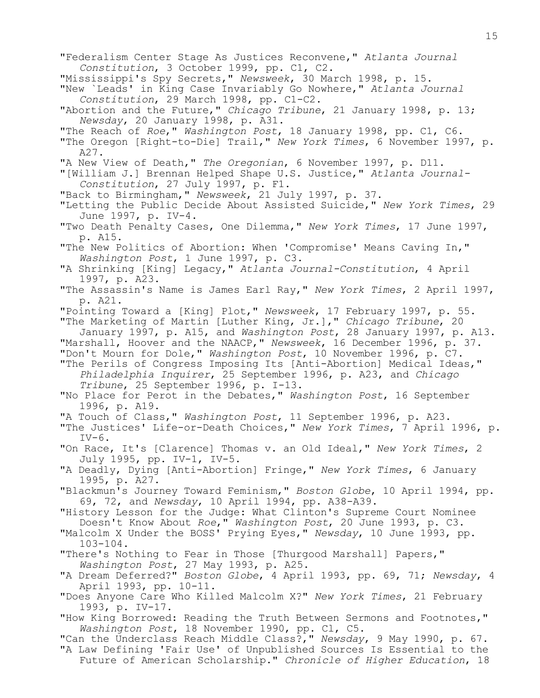"Federalism Center Stage As Justices Reconvene," *Atlanta Journal Constitution*, 3 October 1999, pp. C1, C2. "Mississippi's Spy Secrets," *Newsweek*, 30 March 1998, p. 15. "New `Leads' in King Case Invariably Go Nowhere," *Atlanta Journal Constitution*, 29 March 1998, pp. C1-C2. "Abortion and the Future," *Chicago Tribune*, 21 January 1998, p. 13; *Newsday*, 20 January 1998, p. A31. "The Reach of *Roe*," *Washington Post*, 18 January 1998, pp. C1, C6. "The Oregon [Right-to-Die] Trail," *New York Times*, 6 November 1997, p. A27. "A New View of Death," *The Oregonian*, 6 November 1997, p. D11. "[William J.] Brennan Helped Shape U.S. Justice," *Atlanta Journal-Constitution*, 27 July 1997, p. F1. "Back to Birmingham," *Newsweek*, 21 July 1997, p. 37. "Letting the Public Decide About Assisted Suicide," *New York Times*, 29 June 1997, p. IV-4. "Two Death Penalty Cases, One Dilemma," *New York Times*, 17 June 1997, p. A15. "The New Politics of Abortion: When 'Compromise' Means Caving In," *Washington Post*, 1 June 1997, p. C3. "A Shrinking [King] Legacy," *Atlanta Journal-Constitution*, 4 April 1997, p. A23. "The Assassin's Name is James Earl Ray," *New York Times*, 2 April 1997, p. A21. "Pointing Toward a [King] Plot," *Newsweek*, 17 February 1997, p. 55. "The Marketing of Martin [Luther King, Jr.]," *Chicago Tribune*, 20 January 1997, p. A15, and *Washington Post*, 28 January 1997, p. A13. "Marshall, Hoover and the NAACP," *Newsweek*, 16 December 1996, p. 37. "Don't Mourn for Dole," *Washington Post*, 10 November 1996, p. C7. "The Perils of Congress Imposing Its [Anti-Abortion] Medical Ideas," *Philadelphia Inquirer*, 25 September 1996, p. A23, and *Chicago Tribune*, 25 September 1996, p. I-13. "No Place for Perot in the Debates," *Washington Post*, 16 September 1996, p. A19. "A Touch of Class," *Washington Post*, 11 September 1996, p. A23. "The Justices' Life-or-Death Choices," *New York Times*, 7 April 1996, p.  $IV-6$ . "On Race, It's [Clarence] Thomas v. an Old Ideal," *New York Times*, 2 July 1995, pp. IV-1, IV-5. "A Deadly, Dying [Anti-Abortion] Fringe," *New York Times*, 6 January 1995, p. A27. "Blackmun's Journey Toward Feminism," *Boston Globe*, 10 April 1994, pp. 69, 72, and *Newsday*, 10 April 1994, pp. A38-A39. "History Lesson for the Judge: What Clinton's Supreme Court Nominee Doesn't Know About *Roe*," *Washington Post*, 20 June 1993, p. C3. "Malcolm X Under the BOSS' Prying Eyes," *Newsday*, 10 June 1993, pp. 103-104. "There's Nothing to Fear in Those [Thurgood Marshall] Papers," *Washington Post*, 27 May 1993, p. A25. "A Dream Deferred?" *Boston Globe*, 4 April 1993, pp. 69, 71; *Newsday*, 4 April 1993, pp. 10-11. "Does Anyone Care Who Killed Malcolm X?" *New York Times*, 21 February 1993, p. IV-17. "How King Borrowed: Reading the Truth Between Sermons and Footnotes," *Washington Post*, 18 November 1990, pp. Cl, C5. "Can the Underclass Reach Middle Class?," *Newsday*, 9 May 1990, p. 67. "A Law Defining 'Fair Use' of Unpublished Sources Is Essential to the Future of American Scholarship." *Chronicle of Higher Education*, 18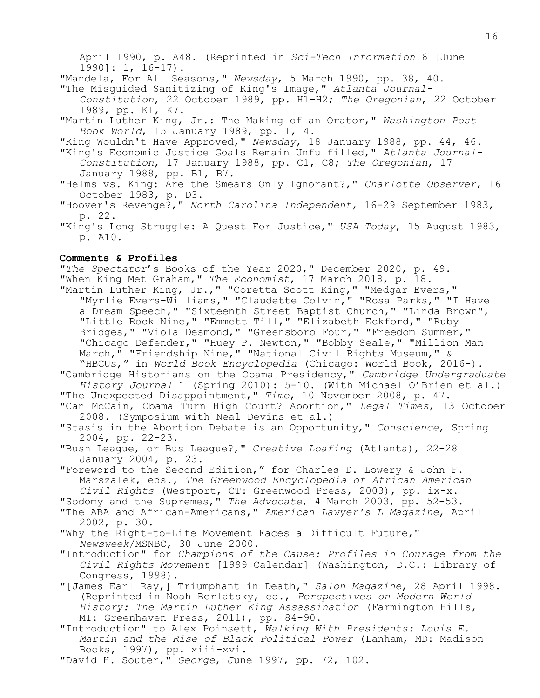April 1990, p. A48. (Reprinted in *Sci-Tech Information* 6 [June 1990]: 1, 16-17). "Mandela, For All Seasons," *Newsday*, 5 March 1990, pp. 38, 40. "The Misguided Sanitizing of King's Image," *Atlanta Journal-Constitution*, 22 October 1989, pp. H1-H2; *The Oregonian*, 22 October 1989, pp. K1, K7. "Martin Luther King, Jr.: The Making of an Orator," *Washington Post Book World*, 15 January 1989, pp. 1, 4. "King Wouldn't Have Approved," *Newsday*, 18 January 1988, pp. 44, 46. "King's Economic Justice Goals Remain Unfulfilled," *Atlanta Journal-Constitution*, 17 January 1988, pp. C1, C8; *The Oregonian*, 17 January 1988, pp. B1, B7. "Helms vs. King: Are the Smears Only Ignorant?," *Charlotte Observer*, 16 October 1983, p. D3. "Hoover's Revenge?," *North Carolina Independent*, 16-29 September 1983, p. 22. "King's Long Struggle: A Quest For Justice," *USA Today*, 15 August 1983, p. A10.

## **Comments & Profiles**

"*The Spectator*'s Books of the Year 2020," December 2020, p. 49. "When King Met Graham," *The Economist*, 17 March 2018, p. 18. "Martin Luther King, Jr.," "Coretta Scott King," "Medgar Evers," "Myrlie Evers-Williams," "Claudette Colvin," "Rosa Parks," "I Have a Dream Speech," "Sixteenth Street Baptist Church," "Linda Brown", "Little Rock Nine," "Emmett Till," "Elizabeth Eckford," "Ruby Bridges," "Viola Desmond," "Greensboro Four," "Freedom Summer," "Chicago Defender," "Huey P. Newton," "Bobby Seale," "Million Man March, "Friendship Nine," "National Civil Rights Museum," & "HBCUs," in *World Book Encyclopedia* (Chicago: World Book, 2016-). "Cambridge Historians on the Obama Presidency," *Cambridge Undergraduate History Journal* 1 (Spring 2010): 5-10. (With Michael O'Brien et al.) "The Unexpected Disappointment," *Time*, 10 November 2008, p. 47. **"**Can McCain, Obama Turn High Court? Abortion," *Legal Times*, 13 October 2008. (Symposium with Neal Devins et al.) "Stasis in the Abortion Debate is an Opportunity," *Conscience*, Spring 2004, pp. 22-23. "Bush League, or Bus League?," *Creative Loafing* (Atlanta), 22-28 January 2004, p. 23. "Foreword to the Second Edition," for Charles D. Lowery & John F. Marszalek, eds., *The Greenwood Encyclopedia of African American Civil Rights* (Westport, CT: Greenwood Press, 2003), pp. ix-x. "Sodomy and the Supremes," *The Advocate*, 4 March 2003, pp. 52-53. "The ABA and African-Americans," *American Lawyer's L Magazine*, April 2002, p. 30. "Why the Right-to-Life Movement Faces a Difficult Future," *Newsweek*/MSNBC, 30 June 2000. "Introduction" for *Champions of the Cause: Profiles in Courage from the Civil Rights Movement* [1999 Calendar] (Washington, D.C.: Library of Congress, 1998). "[James Earl Ray,] Triumphant in Death," *Salon Magazine*, 28 April 1998. (Reprinted in Noah Berlatsky, ed., *Perspectives on Modern World History: The Martin Luther King Assassination* (Farmington Hills, MI: Greenhaven Press, 2011), pp. 84-90. "Introduction" to Alex Poinsett, *Walking With Presidents: Louis E. Martin and the Rise of Black Political Power* (Lanham, MD: Madison Books, 1997), pp. xiii-xvi.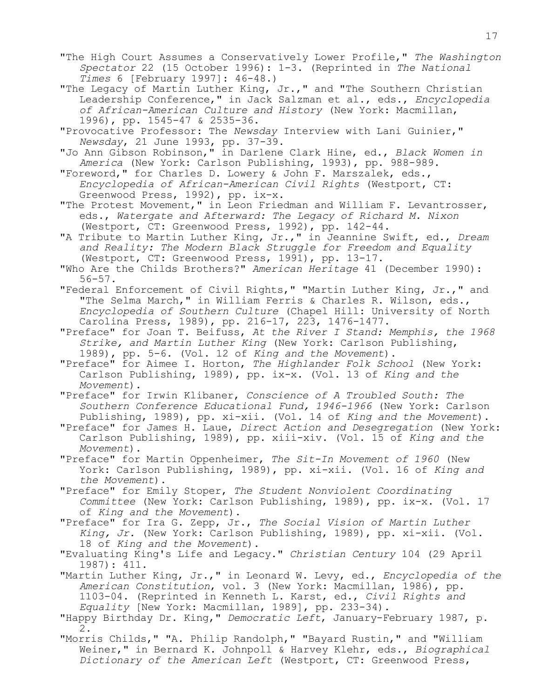- "The High Court Assumes a Conservatively Lower Profile," *The Washington Spectator* 22 (15 October 1996): 1-3. (Reprinted in *The National Times* 6 [February 1997]: 46-48.)
- "The Legacy of Martin Luther King, Jr.," and "The Southern Christian Leadership Conference," in Jack Salzman et al., eds., *Encyclopedia of African-American Culture and History* (New York: Macmillan, 1996), pp. 1545-47 & 2535-36.

"Provocative Professor: The *Newsday* Interview with Lani Guinier," *Newsday*, 21 June 1993, pp. 37-39.

"Jo Ann Gibson Robinson," in Darlene Clark Hine, ed., *Black Women in America* (New York: Carlson Publishing, 1993), pp. 988-989.

"Foreword," for Charles D. Lowery & John F. Marszalek, eds., *Encyclopedia of African-American Civil Rights* (Westport, CT: Greenwood Press, 1992), pp. ix-x.

"The Protest Movement," in Leon Friedman and William F. Levantrosser, eds., *Watergate and Afterward: The Legacy of Richard M. Nixon* (Westport, CT: Greenwood Press, 1992), pp. 142-44.

"A Tribute to Martin Luther King, Jr.," in Jeannine Swift, ed., *Dream and Reality: The Modern Black Struggle for Freedom and Equality* (Westport, CT: Greenwood Press, 1991), pp. 13-17.

"Who Are the Childs Brothers?" *American Heritage* 41 (December 1990): 56-57.

"Federal Enforcement of Civil Rights," "Martin Luther King, Jr.," and "The Selma March," in William Ferris & Charles R. Wilson, eds., *Encyclopedia of Southern Culture* (Chapel Hill: University of North Carolina Press, 1989), pp. 216-17, 223, 1476-1477.

"Preface" for Joan T. Beifuss, *At the River I Stand: Memphis, the 1968 Strike, and Martin Luther King* (New York: Carlson Publishing, 1989), pp. 5-6. (Vol. 12 of *King and the Movement*).

"Preface" for Aimee I. Horton, *The Highlander Folk School* (New York: Carlson Publishing, 1989), pp. ix-x. (Vol. 13 of *King and the Movement*).

"Preface" for Irwin Klibaner, *Conscience of A Troubled South: The Southern Conference Educational Fund, 1946-1966* (New York: Carlson Publishing, 1989), pp. xi-xii. (Vol. 14 of *King and the Movement*).

"Preface" for James H. Laue, *Direct Action and Desegregation* (New York: Carlson Publishing, 1989), pp. xiii-xiv. (Vol. 15 of *King and the Movement*).

"Preface" for Martin Oppenheimer, *The Sit-In Movement of 1960* (New York: Carlson Publishing, 1989), pp. xi-xii. (Vol. 16 of *King and the Movement*).

"Preface" for Emily Stoper, *The Student Nonviolent Coordinating Committee* (New York: Carlson Publishing, 1989), pp. ix-x. (Vol. 17 of *King and the Movement*).

"Preface" for Ira G. Zepp, Jr., *The Social Vision of Martin Luther King, Jr.* (New York: Carlson Publishing, 1989), pp. xi-xii. (Vol. 18 of *King and the Movement*).

"Evaluating King's Life and Legacy." *Christian Century* 104 (29 April 1987): 411.

"Martin Luther King, Jr.," in Leonard W. Levy, ed., *Encyclopedia of the American Constitution*, vol. 3 (New York: Macmillan, 1986), pp. 1103-04. (Reprinted in Kenneth L. Karst, ed., *Civil Rights and Equality* [New York: Macmillan, 1989], pp. 233-34).

"Happy Birthday Dr. King," *Democratic Left*, January-February 1987, p. 2.

"Morris Childs," "A. Philip Randolph," "Bayard Rustin," and "William Weiner," in Bernard K. Johnpoll & Harvey Klehr, eds., *Biographical Dictionary of the American Left* (Westport, CT: Greenwood Press,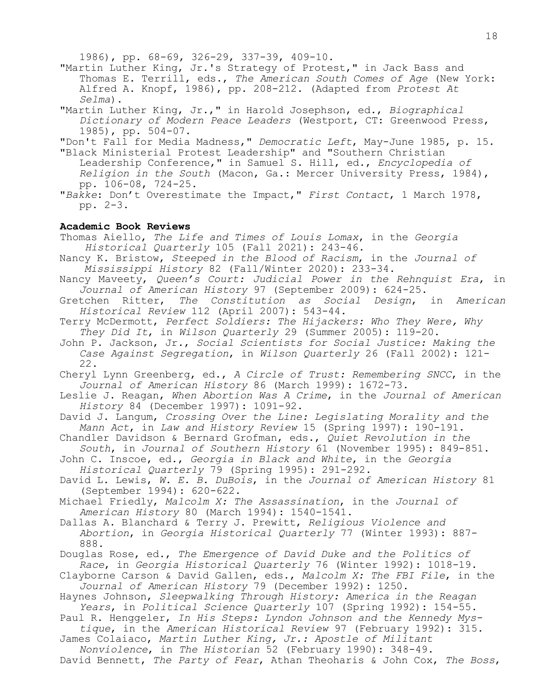1986), pp. 68-69, 326-29, 337-39, 409-10.

"Martin Luther King, Jr.'s Strategy of Protest," in Jack Bass and Thomas E. Terrill, eds., *The American South Comes of Age* (New York: Alfred A. Knopf, 1986), pp. 208-212. (Adapted from *Protest At Selma*).

"Martin Luther King, Jr.," in Harold Josephson, ed., *Biographical Dictionary of Modern Peace Leaders* (Westport, CT: Greenwood Press, 1985), pp. 504-07.

"Don't Fall for Media Madness," *Democratic Left*, May-June 1985, p. 15.

"Black Ministerial Protest Leadership" and "Southern Christian Leadership Conference," in Samuel S. Hill, ed., *Encyclopedia of Religion in the South* (Macon, Ga.: Mercer University Press, 1984), pp. 106-08, 724-25.

"*Bakke*: Don't Overestimate the Impact," *First Contact*, 1 March 1978, pp. 2-3.

## **Academic Book Reviews**

 Thomas Aiello, *The Life and Times of Louis Lomax*, in the *Georgia Historical Quarterly* 105 (Fall 2021): 243-46.

- Nancy K. Bristow, *Steeped in the Blood of Racism*, in the *Journal of Mississippi History* 82 (Fall/Winter 2020): 233-34.
- Nancy Maveety, *Queen's Court: Judicial Power in the Rehnquist Era*, in *Journal of American History* 97 (September 2009): 624-25.
- Gretchen Ritter, *The Constitution as Social Design*, in *American Historical Review* 112 (April 2007): 543-44.
- Terry McDermott, *Perfect Soldiers: The Hijackers: Who They Were, Why They Did It*, in *Wilson Quarterly* 29 (Summer 2005): 119-20.
- John P. Jackson, Jr., *Social Scientists for Social Justice: Making the Case Against Segregation*, in *Wilson Quarterly* 26 (Fall 2002): 121- 22.

Cheryl Lynn Greenberg, ed., *A Circle of Trust: Remembering SNCC*, in the *Journal of American History* 86 (March 1999): 1672-73.

Leslie J. Reagan, *When Abortion Was A Crime*, in the *Journal of American History* 84 (December 1997): 1091-92.

David J. Langum, *Crossing Over the Line: Legislating Morality and the Mann Act*, in *Law and History Review* 15 (Spring 1997): 190-191.

Chandler Davidson & Bernard Grofman, eds., *Quiet Revolution in the South*, in *Journal of Southern History* 61 (November 1995): 849-851.

John C. Inscoe, ed., *Georgia in Black and White*, in the *Georgia Historical Quarterly* 79 (Spring 1995): 291-292.

David L. Lewis, *W. E. B. DuBois*, in the *Journal of American History* 81 (September 1994): 620-622.

Michael Friedly, *Malcolm X: The Assassination*, in the *Journal of American History* 80 (March 1994): 1540-1541.

Dallas A. Blanchard & Terry J. Prewitt, *Religious Violence and Abortion*, in *Georgia Historical Quarterly* 77 (Winter 1993): 887- 888.

Douglas Rose, ed., *The Emergence of David Duke and the Politics of Race*, in *Georgia Historical Quarterly* 76 (Winter 1992): 1018-19.

Clayborne Carson & David Gallen, eds., *Malcolm X: The FBI File*, in the *Journal of American History* 79 (December 1992): 1250.

Haynes Johnson, *Sleepwalking Through History: America in the Reagan Years*, in *Political Science Quarterly* 107 (Spring 1992): 154-55.

Paul R. Henggeler, *In His Steps: Lyndon Johnson and the Kennedy Mystique*, in the *American Historical Review* 97 (February 1992): 315.

James Colaiaco, *Martin Luther King, Jr.: Apostle of Militant Nonviolence*, in *The Historian* 52 (February 1990): 348-49.

David Bennett, *The Party of Fear*, Athan Theoharis & John Cox, *The Boss*,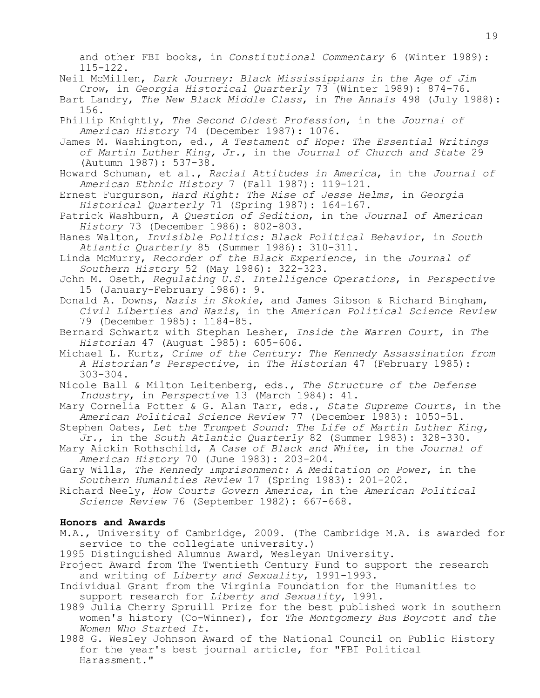and other FBI books, in *Constitutional Commentary* 6 (Winter 1989): 115-122.

- Neil McMillen, *Dark Journey: Black Mississippians in the Age of Jim Crow*, in *Georgia Historical Quarterly* 73 (Winter 1989): 874-76.
- Bart Landry, *The New Black Middle Class*, in *The Annals* 498 (July 1988): 156.
- Phillip Knightly, *The Second Oldest Profession*, in the *Journal of American History* 74 (December 1987): 1076.
- James M. Washington, ed., *A Testament of Hope: The Essential Writings of Martin Luther King, Jr.*, in the *Journal of Church and State* 29 (Autumn 1987): 537-38.
- Howard Schuman, et al., *Racial Attitudes in America*, in the *Journal of American Ethnic History* 7 (Fall 1987): 119-121.
- Ernest Furgurson, *Hard Right: The Rise of Jesse Helms*, in *Georgia Historical Quarterly* 71 (Spring 1987): 164-167.
- Patrick Washburn, *A Question of Sedition*, in the *Journal of American History* 73 (December 1986): 802-803.
- Hanes Walton, *Invisible Politics: Black Political Behavior*, in *South Atlantic Quarterly* 85 (Summer 1986): 310-311.
- Linda McMurry, *Recorder of the Black Experience*, in the *Journal of Southern History* 52 (May 1986): 322-323.
- John M. Oseth, *Regulating U.S. Intelligence Operations*, in *Perspective* 15 (January-February 1986): 9.
- Donald A. Downs, *Nazis in Skokie*, and James Gibson & Richard Bingham, *Civil Liberties and Nazis*, in the *American Political Science Review* 79 (December 1985): 1184-85.
- Bernard Schwartz with Stephan Lesher, *Inside the Warren Court*, in *The Historian* 47 (August 1985): 605-606.
- Michael L. Kurtz, *Crime of the Century: The Kennedy Assassination from A Historian's Perspective*, in *The Historian* 47 (February 1985): 303-304.
- Nicole Ball & Milton Leitenberg, eds., *The Structure of the Defense Industry*, in *Perspective* 13 (March 1984): 41.
- Mary Cornelia Potter & G. Alan Tarr, eds., *State Supreme Courts*, in the *American Political Science Review* 77 (December 1983): 1050-51.
- Stephen Oates, *Let the Trumpet Sound: The Life of Martin Luther King, Jr.*, in the *South Atlantic Quarterly* 82 (Summer 1983): 328-330.
- Mary Aickin Rothschild, *A Case of Black and White*, in the *Journal of American History* 70 (June 1983): 203-204.
- Gary Wills, *The Kennedy Imprisonment: A Meditation on Power*, in the *Southern Humanities Review* 17 (Spring 1983): 201-202.
- Richard Neely, *How Courts Govern America*, in the *American Political Science Review* 76 (September 1982): 667-668.

## **Honors and Awards**

- M.A., University of Cambridge, 2009. (The Cambridge M.A. is awarded for service to the collegiate university.)
- 1995 Distinguished Alumnus Award, Wesleyan University.
- Project Award from The Twentieth Century Fund to support the research and writing of *Liberty and Sexuality*, 1991-1993.
- Individual Grant from the Virginia Foundation for the Humanities to support research for *Liberty and Sexuality*, 1991.
- 1989 Julia Cherry Spruill Prize for the best published work in southern women's history (Co-Winner), for *The Montgomery Bus Boycott and the Women Who Started It*.
- 1988 G. Wesley Johnson Award of the National Council on Public History for the year's best journal article, for "FBI Political Harassment."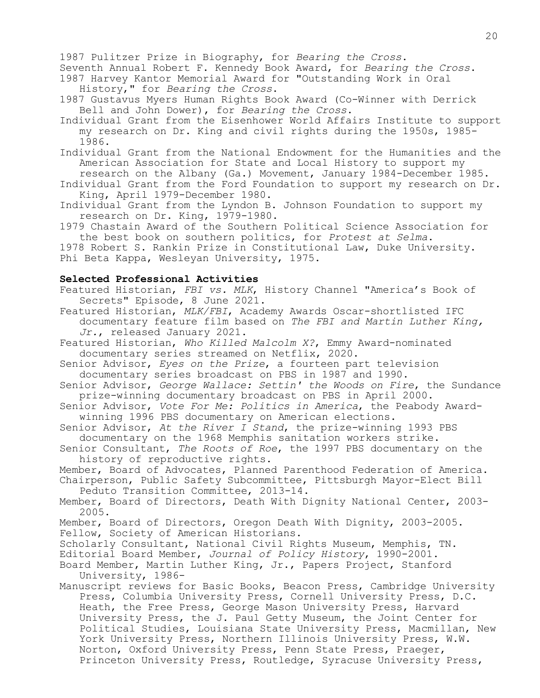1987 Pulitzer Prize in Biography, for *Bearing the Cross*.

Seventh Annual Robert F. Kennedy Book Award, for *Bearing the Cross*. 1987 Harvey Kantor Memorial Award for "Outstanding Work in Oral History," for *Bearing the Cross*.

1987 Gustavus Myers Human Rights Book Award (Co-Winner with Derrick Bell and John Dower), for *Bearing the Cross*.

Individual Grant from the Eisenhower World Affairs Institute to support my research on Dr. King and civil rights during the 1950s, 1985- 1986.

Individual Grant from the National Endowment for the Humanities and the American Association for State and Local History to support my

research on the Albany (Ga.) Movement, January 1984-December 1985. Individual Grant from the Ford Foundation to support my research on Dr. King, April 1979-December 1980.

Individual Grant from the Lyndon B. Johnson Foundation to support my research on Dr. King, 1979-1980.

1979 Chastain Award of the Southern Political Science Association for the best book on southern politics, for *Protest at Selma*.

1978 Robert S. Rankin Prize in Constitutional Law, Duke University. Phi Beta Kappa, Wesleyan University, 1975.

# **Selected Professional Activities**

Featured Historian, *FBI vs. MLK*, History Channel "America's Book of Secrets" Episode, 8 June 2021.

Featured Historian, *MLK/FBI*, Academy Awards Oscar-shortlisted IFC documentary feature film based on *The FBI and Martin Luther King, Jr.*, released January 2021.

Featured Historian, *Who Killed Malcolm X?*, Emmy Award-nominated documentary series streamed on Netflix, 2020.

Senior Advisor, *Eyes on the Prize*, a fourteen part television documentary series broadcast on PBS in 1987 and 1990.

Senior Advisor, *George Wallace: Settin' the Woods on Fire*, the Sundance prize-winning documentary broadcast on PBS in April 2000.

Senior Advisor, *Vote For Me: Politics in America*, the Peabody Awardwinning 1996 PBS documentary on American elections.

Senior Advisor, *At the River I Stand*, the prize-winning 1993 PBS documentary on the 1968 Memphis sanitation workers strike.

Senior Consultant, *The Roots of Roe*, the 1997 PBS documentary on the history of reproductive rights.

Member, Board of Advocates, Planned Parenthood Federation of America.

Chairperson, Public Safety Subcommittee, Pittsburgh Mayor-Elect Bill Peduto Transition Committee, 2013-14.

Member, Board of Directors, Death With Dignity National Center, 2003- 2005.

Member, Board of Directors, Oregon Death With Dignity, 2003-2005. Fellow, Society of American Historians.

Scholarly Consultant, National Civil Rights Museum, Memphis, TN.

Editorial Board Member, *Journal of Policy History*, 1990-2001.

Board Member, Martin Luther King, Jr., Papers Project, Stanford University, 1986-

Manuscript reviews for Basic Books, Beacon Press, Cambridge University Press, Columbia University Press, Cornell University Press, D.C. Heath, the Free Press, George Mason University Press, Harvard University Press, the J. Paul Getty Museum, the Joint Center for Political Studies, Louisiana State University Press, Macmillan, New York University Press, Northern Illinois University Press, W.W. Norton, Oxford University Press, Penn State Press, Praeger, Princeton University Press, Routledge, Syracuse University Press,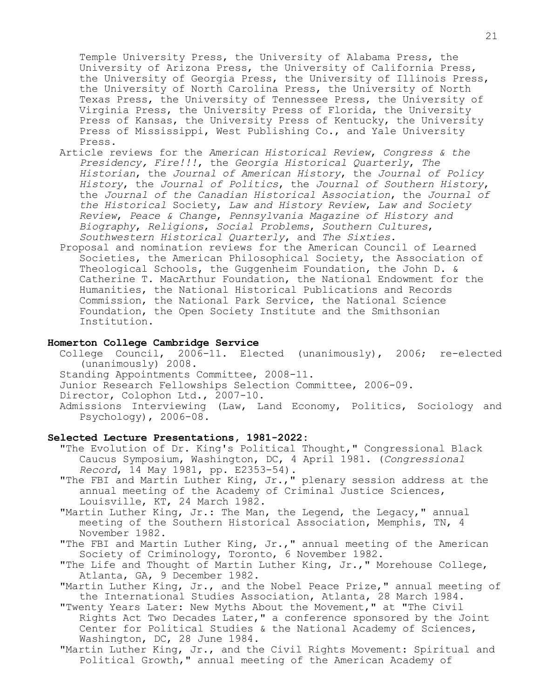Temple University Press, the University of Alabama Press, the University of Arizona Press, the University of California Press, the University of Georgia Press, the University of Illinois Press, the University of North Carolina Press, the University of North Texas Press, the University of Tennessee Press, the University of Virginia Press, the University Press of Florida, the University Press of Kansas, the University Press of Kentucky, the University Press of Mississippi, West Publishing Co., and Yale University Press.

- Article reviews for the *American Historical Review*, *Congress & the Presidency, Fire!!!*, the *Georgia Historical Quarterly*, *The Historian*, the *Journal of American History*, the *Journal of Policy History*, the *Journal of Politics*, the *Journal of Southern History*, the *Journal of the Canadian Historical Association*, the *Journal of the Historical* Society, *Law and History Review*, *Law and Society Review*, *Peace & Change*, *Pennsylvania Magazine of History and Biography*, *Religions*, *Social Problems*, *Southern Cultures*, *Southwestern Historical Quarterly*, and *The Sixties*.
- Proposal and nomination reviews for the American Council of Learned Societies, the American Philosophical Society, the Association of Theological Schools, the Guggenheim Foundation, the John D. & Catherine T. MacArthur Foundation, the National Endowment for the Humanities, the National Historical Publications and Records Commission, the National Park Service, the National Science Foundation, the Open Society Institute and the Smithsonian Institution.

### **Homerton College Cambridge Service**

- College Council, 2006-11. Elected (unanimously), 2006; re-elected (unanimously) 2008.
- Standing Appointments Committee, 2008-11.
- Junior Research Fellowships Selection Committee, 2006-09.
- Director, Colophon Ltd., 2007-10.
- Admissions Interviewing (Law, Land Economy, Politics, Sociology and Psychology), 2006-08.

## **Selected Lecture Presentations, 1981-2022:**

- "The Evolution of Dr. King's Political Thought," Congressional Black Caucus Symposium, Washington, DC, 4 April 1981. (*Congressional Record*, 14 May 1981, pp. E2353-54).
- "The FBI and Martin Luther King, Jr.," plenary session address at the annual meeting of the Academy of Criminal Justice Sciences, Louisville, KT, 24 March 1982.
- "Martin Luther King, Jr.: The Man, the Legend, the Legacy," annual meeting of the Southern Historical Association, Memphis, TN, 4 November 1982.
- "The FBI and Martin Luther King, Jr.," annual meeting of the American Society of Criminology, Toronto, 6 November 1982.
- "The Life and Thought of Martin Luther King, Jr.," Morehouse College, Atlanta, GA, 9 December 1982.
- "Martin Luther King, Jr., and the Nobel Peace Prize," annual meeting of the International Studies Association, Atlanta, 28 March 1984.
- "Twenty Years Later: New Myths About the Movement," at "The Civil Rights Act Two Decades Later," a conference sponsored by the Joint Center for Political Studies & the National Academy of Sciences, Washington, DC, 28 June 1984.
- "Martin Luther King, Jr., and the Civil Rights Movement: Spiritual and Political Growth," annual meeting of the American Academy of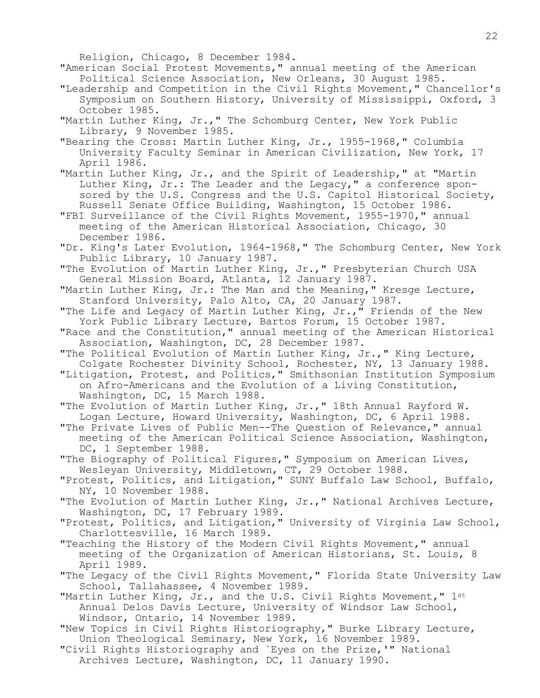22

Religion, Chicago, 8 December 1984.

"American Social Protest Movements," annual meeting of the American Political Science Association, New Orleans, 30 August 1985.

- "Leadership and Competition in the Civil Rights Movement," Chancellor's Symposium on Southern History, University of Mississippi, Oxford, 3 October 1985.
- "Martin Luther King, Jr.," The Schomburg Center, New York Public Library, 9 November 1985.

"Bearing the Cross: Martin Luther King, Jr., 1955-1968," Columbia University Faculty Seminar in American Civilization, New York, 17 April 1986.

"Martin Luther King, Jr., and the Spirit of Leadership," at "Martin Luther King, Jr.: The Leader and the Legacy," a conference sponsored by the U.S. Congress and the U.S. Capitol Historical Society, Russell Senate Office Building, Washington, 15 October 1986.

"FBI Surveillance of the Civil Rights Movement, 1955-1970," annual meeting of the American Historical Association, Chicago, 30 December 1986.

"Dr. King's Later Evolution, 1964-1968," The Schomburg Center, New York Public Library, 10 January 1987.

"The Evolution of Martin Luther King, Jr.," Presbyterian Church USA General Mission Board, Atlanta, 12 January 1987.

"Martin Luther King, Jr.: The Man and the Meaning," Kresge Lecture, Stanford University, Palo Alto, CA, 20 January 1987.

"The Life and Legacy of Martin Luther King, Jr.," Friends of the New York Public Library Lecture, Bartos Forum, 15 October 1987.

"Race and the Constitution," annual meeting of the American Historical Association, Washington, DC, 28 December 1987.

"The Political Evolution of Martin Luther King, Jr.," King Lecture, Colgate Rochester Divinity School, Rochester, NY, 13 January 1988.

"Litigation, Protest, and Politics," Smithsonian Institution Symposium on Afro-Americans and the Evolution of a Living Constitution, Washington, DC, 15 March 1988.

"The Evolution of Martin Luther King, Jr.," 18th Annual Rayford W. Logan Lecture, Howard University, Washington, DC, 6 April 1988.

"The Private Lives of Public Men--The Question of Relevance," annual meeting of the American Political Science Association, Washington, DC, 1 September 1988.

"The Biography of Political Figures," Symposium on American Lives, Wesleyan University, Middletown, CT, 29 October 1988.

"Protest, Politics, and Litigation," SUNY Buffalo Law School, Buffalo, NY, 10 November 1988.

"The Evolution of Martin Luther King, Jr.," National Archives Lecture, Washington, DC, 17 February 1989.

"Protest, Politics, and Litigation," University of Virginia Law School, Charlottesville, 16 March 1989.

"Teaching the History of the Modern Civil Rights Movement," annual meeting of the Organization of American Historians, St. Louis, 8 April 1989.

"The Legacy of the Civil Rights Movement," Florida State University Law School, Tallahassee, 4 November 1989.

"Martin Luther King, Jr., and the U.S. Civil Rights Movement," 1st Annual Delos Davis Lecture, University of Windsor Law School, Windsor, Ontario, 14 November 1989.

"New Topics in Civil Rights Historiography," Burke Library Lecture, Union Theological Seminary, New York, 16 November 1989.

"Civil Rights Historiography and `Eyes on the Prize,'" National Archives Lecture, Washington, DC, 11 January 1990.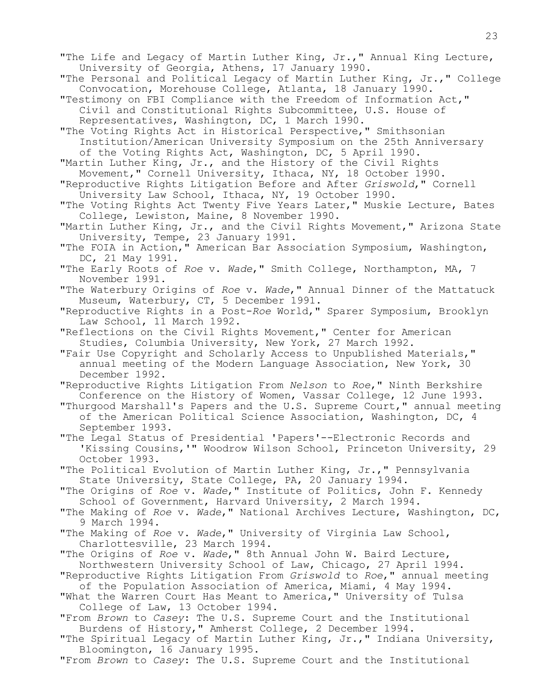"The Life and Legacy of Martin Luther King, Jr.," Annual King Lecture, University of Georgia, Athens, 17 January 1990. "The Personal and Political Legacy of Martin Luther King, Jr.," College Convocation, Morehouse College, Atlanta, 18 January 1990. "Testimony on FBI Compliance with the Freedom of Information Act," Civil and Constitutional Rights Subcommittee, U.S. House of Representatives, Washington, DC, 1 March 1990. "The Voting Rights Act in Historical Perspective," Smithsonian Institution/American University Symposium on the 25th Anniversary of the Voting Rights Act, Washington, DC, 5 April 1990. "Martin Luther King, Jr., and the History of the Civil Rights Movement," Cornell University, Ithaca, NY, 18 October 1990. "Reproductive Rights Litigation Before and After *Griswold*," Cornell University Law School, Ithaca, NY, 19 October 1990. "The Voting Rights Act Twenty Five Years Later," Muskie Lecture, Bates College, Lewiston, Maine, 8 November 1990. "Martin Luther King, Jr., and the Civil Rights Movement," Arizona State University, Tempe, 23 January 1991. "The FOIA in Action," American Bar Association Symposium, Washington, DC, 21 May 1991. "The Early Roots of *Roe* v. *Wade*," Smith College, Northampton, MA, 7 November 1991. "The Waterbury Origins of *Roe* v. *Wade*," Annual Dinner of the Mattatuck Museum, Waterbury, CT, 5 December 1991. "Reproductive Rights in a Post-*Roe* World," Sparer Symposium, Brooklyn Law School, 11 March 1992. "Reflections on the Civil Rights Movement," Center for American Studies, Columbia University, New York, 27 March 1992. "Fair Use Copyright and Scholarly Access to Unpublished Materials," annual meeting of the Modern Language Association, New York, 30 December 1992. "Reproductive Rights Litigation From *Nelson* to *Roe*," Ninth Berkshire Conference on the History of Women, Vassar College, 12 June 1993. "Thurgood Marshall's Papers and the U.S. Supreme Court," annual meeting of the American Political Science Association, Washington, DC, 4 September 1993. "The Legal Status of Presidential 'Papers'--Electronic Records and 'Kissing Cousins,'" Woodrow Wilson School, Princeton University, 29 October 1993. "The Political Evolution of Martin Luther King, Jr.," Pennsylvania State University, State College, PA, 20 January 1994. "The Origins of *Roe* v. *Wade*," Institute of Politics, John F. Kennedy School of Government, Harvard University, 2 March 1994. "The Making of *Roe* v. *Wade*," National Archives Lecture, Washington, DC, 9 March 1994. "The Making of *Roe* v. *Wade*," University of Virginia Law School, Charlottesville, 23 March 1994. "The Origins of *Roe* v. *Wade*," 8th Annual John W. Baird Lecture, Northwestern University School of Law, Chicago, 27 April 1994. "Reproductive Rights Litigation From *Griswold* to *Roe*," annual meeting of the Population Association of America, Miami, 4 May 1994. "What the Warren Court Has Meant to America," University of Tulsa College of Law, 13 October 1994. "From *Brown* to *Casey*: The U.S. Supreme Court and the Institutional Burdens of History," Amherst College, 2 December 1994. "The Spiritual Legacy of Martin Luther King, Jr.," Indiana University, Bloomington, 16 January 1995. "From *Brown* to *Casey*: The U.S. Supreme Court and the Institutional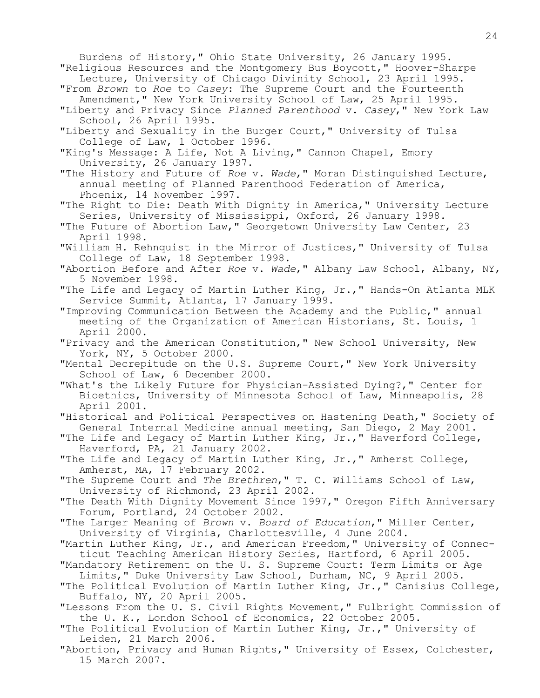Burdens of History," Ohio State University, 26 January 1995. "Religious Resources and the Montgomery Bus Boycott," Hoover-Sharpe Lecture, University of Chicago Divinity School, 23 April 1995. "From *Brown* to *Roe* to *Casey*: The Supreme Court and the Fourteenth Amendment," New York University School of Law, 25 April 1995. "Liberty and Privacy Since *Planned Parenthood* v. *Casey*," New York Law School, 26 April 1995. "Liberty and Sexuality in the Burger Court," University of Tulsa College of Law, 1 October 1996. "King's Message: A Life, Not A Living," Cannon Chapel, Emory University, 26 January 1997. "The History and Future of *Roe* v. *Wade*," Moran Distinguished Lecture, annual meeting of Planned Parenthood Federation of America, Phoenix, 14 November 1997. "The Right to Die: Death With Dignity in America," University Lecture Series, University of Mississippi, Oxford, 26 January 1998. "The Future of Abortion Law," Georgetown University Law Center, 23 April 1998. "William H. Rehnquist in the Mirror of Justices," University of Tulsa College of Law, 18 September 1998. "Abortion Before and After *Roe* v. *Wade*," Albany Law School, Albany, NY, 5 November 1998. "The Life and Legacy of Martin Luther King, Jr.," Hands-On Atlanta MLK Service Summit, Atlanta, 17 January 1999. "Improving Communication Between the Academy and the Public," annual meeting of the Organization of American Historians, St. Louis, 1 April 2000. "Privacy and the American Constitution," New School University, New York, NY, 5 October 2000. "Mental Decrepitude on the U.S. Supreme Court," New York University School of Law, 6 December 2000. "What's the Likely Future for Physician-Assisted Dying?," Center for Bioethics, University of Minnesota School of Law, Minneapolis, 28 April 2001. "Historical and Political Perspectives on Hastening Death," Society of General Internal Medicine annual meeting, San Diego, 2 May 2001. "The Life and Legacy of Martin Luther King, Jr.," Haverford College, Haverford, PA, 21 January 2002. "The Life and Legacy of Martin Luther King, Jr.," Amherst College, Amherst, MA, 17 February 2002. "The Supreme Court and *The Brethren*," T. C. Williams School of Law, University of Richmond, 23 April 2002. "The Death With Dignity Movement Since 1997," Oregon Fifth Anniversary Forum, Portland, 24 October 2002. "The Larger Meaning of *Brown* v. *Board of Education*," Miller Center, University of Virginia, Charlottesville, 4 June 2004. "Martin Luther King, Jr., and American Freedom," University of Connecticut Teaching American History Series, Hartford, 6 April 2005. "Mandatory Retirement on the U. S. Supreme Court: Term Limits or Age Limits," Duke University Law School, Durham, NC, 9 April 2005. "The Political Evolution of Martin Luther King, Jr.," Canisius College, Buffalo, NY, 20 April 2005. "Lessons From the U. S. Civil Rights Movement," Fulbright Commission of the U. K., London School of Economics, 22 October 2005. "The Political Evolution of Martin Luther King, Jr.," University of Leiden, 21 March 2006. "Abortion, Privacy and Human Rights," University of Essex, Colchester, 15 March 2007.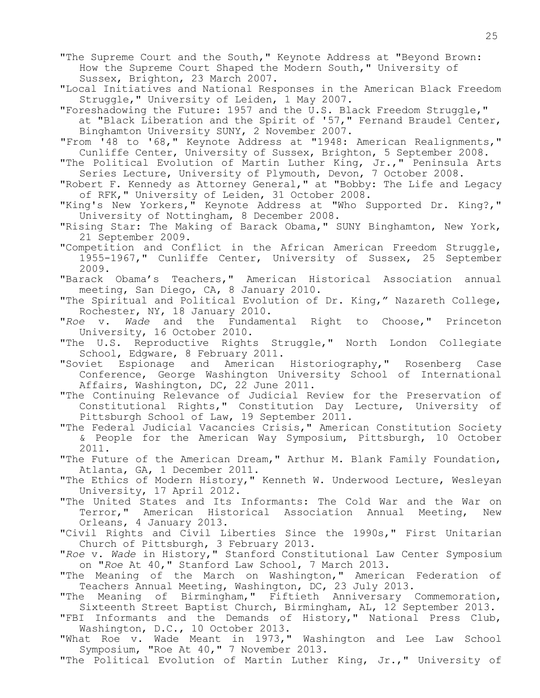"The Supreme Court and the South," Keynote Address at "Beyond Brown: How the Supreme Court Shaped the Modern South," University of Sussex, Brighton, 23 March 2007.

"Local Initiatives and National Responses in the American Black Freedom Struggle," University of Leiden, 1 May 2007.

"Foreshadowing the Future: 1957 and the U.S. Black Freedom Struggle," at "Black Liberation and the Spirit of '57," Fernand Braudel Center, Binghamton University SUNY, 2 November 2007.

 "From '48 to '68," Keynote Address at "1948: American Realignments," Cunliffe Center, University of Sussex, Brighton, 5 September 2008.

"The Political Evolution of Martin Luther King, Jr.," Peninsula Arts Series Lecture, University of Plymouth, Devon, 7 October 2008.

"Robert F. Kennedy as Attorney General," at "Bobby: The Life and Legacy of RFK," University of Leiden, 31 October 2008.

"King's New Yorkers," Keynote Address at "Who Supported Dr. King?," University of Nottingham, 8 December 2008.

"Rising Star: The Making of Barack Obama," SUNY Binghamton, New York, 21 September 2009.

"Competition and Conflict in the African American Freedom Struggle, 1955-1967," Cunliffe Center, University of Sussex, 25 September 2009.

"Barack Obama's Teachers," American Historical Association annual meeting, San Diego, CA, 8 January 2010.

"The Spiritual and Political Evolution of Dr. King," Nazareth College, Rochester, NY, 18 January 2010.

"*Roe* v. *Wade* and the Fundamental Right to Choose," Princeton University, 16 October 2010.

"The U.S. Reproductive Rights Struggle," North London Collegiate School, Edgware, 8 February 2011.

"Soviet Espionage and American Historiography," Rosenberg Case Conference, George Washington University School of International Affairs, Washington, DC, 22 June 2011.

"The Continuing Relevance of Judicial Review for the Preservation of Constitutional Rights," Constitution Day Lecture, University of Pittsburgh School of Law, 19 September 2011.

"The Federal Judicial Vacancies Crisis," American Constitution Society & People for the American Way Symposium, Pittsburgh, 10 October 2011.

"The Future of the American Dream," Arthur M. Blank Family Foundation, Atlanta, GA, 1 December 2011.

"The Ethics of Modern History," Kenneth W. Underwood Lecture, Wesleyan University, 17 April 2012.

"The United States and Its Informants: The Cold War and the War on Terror," American Historical Association Annual Meeting, New Orleans, 4 January 2013.

"Civil Rights and Civil Liberties Since the 1990s," First Unitarian Church of Pittsburgh, 3 February 2013.

"*Roe* v. *Wade* in History," Stanford Constitutional Law Center Symposium on "*Roe* At 40," Stanford Law School, 7 March 2013.

"The Meaning of the March on Washington," American Federation of Teachers Annual Meeting, Washington, DC, 23 July 2013.

"The Meaning of Birmingham," Fiftieth Anniversary Commemoration, Sixteenth Street Baptist Church, Birmingham, AL, 12 September 2013.

"FBI Informants and the Demands of History," National Press Club, Washington, D.C., 10 October 2013.

"What Roe v. Wade Meant in 1973," Washington and Lee Law School Symposium, "Roe At 40," 7 November 2013.

"The Political Evolution of Martin Luther King, Jr.," University of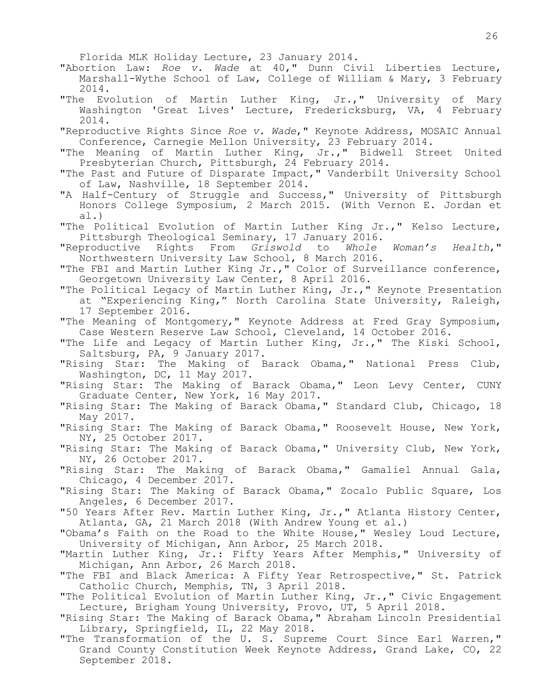Florida MLK Holiday Lecture, 23 January 2014.

"Abortion Law: *Roe v. Wade* at 40," Dunn Civil Liberties Lecture, Marshall-Wythe School of Law, College of William & Mary, 3 February 2014.

- "The Evolution of Martin Luther King, Jr.," University of Mary Washington 'Great Lives' Lecture, Fredericksburg, VA, 4 February 2014.
- "Reproductive Rights Since *Roe v. Wade*," Keynote Address, MOSAIC Annual Conference, Carnegie Mellon University, 23 February 2014.
- "The Meaning of Martin Luther King, Jr.," Bidwell Street United Presbyterian Church, Pittsburgh, 24 February 2014.
- "The Past and Future of Disparate Impact," Vanderbilt University School of Law, Nashville, 18 September 2014.
- "A Half-Century of Struggle and Success," University of Pittsburgh Honors College Symposium, 2 March 2015. (With Vernon E. Jordan et al.)
- "The Political Evolution of Martin Luther King Jr.," Kelso Lecture, Pittsburgh Theological Seminary, 17 January 2016.

"Reproductive Rights From *Griswold* to *Whole Woman's Health*," Northwestern University Law School, 8 March 2016.

"The FBI and Martin Luther King Jr.," Color of Surveillance conference, Georgetown University Law Center, 8 April 2016.

"The Political Legacy of Martin Luther King, Jr.," Keynote Presentation at "Experiencing King," North Carolina State University, Raleigh, 17 September 2016.

"The Meaning of Montgomery," Keynote Address at Fred Gray Symposium, Case Western Reserve Law School, Cleveland, 14 October 2016.

- "The Life and Legacy of Martin Luther King, Jr.," The Kiski School, Saltsburg, PA, 9 January 2017.
- "Rising Star: The Making of Barack Obama," National Press Club, Washington, DC, 11 May 2017.

"Rising Star: The Making of Barack Obama," Leon Levy Center, CUNY Graduate Center, New York, 16 May 2017.

- "Rising Star: The Making of Barack Obama," Standard Club, Chicago, 18 May 2017.
- "Rising Star: The Making of Barack Obama," Roosevelt House, New York, NY, 25 October 2017.
- "Rising Star: The Making of Barack Obama," University Club, New York, NY, 26 October 2017.
- "Rising Star: The Making of Barack Obama," Gamaliel Annual Gala, Chicago, 4 December 2017.
- "Rising Star: The Making of Barack Obama," Zocalo Public Square, Los Angeles, 6 December 2017.
- "50 Years After Rev. Martin Luther King, Jr.," Atlanta History Center, Atlanta, GA, 21 March 2018 (With Andrew Young et al.)

"Obama's Faith on the Road to the White House," Wesley Loud Lecture, University of Michigan, Ann Arbor, 25 March 2018.

"Martin Luther King, Jr.: Fifty Years After Memphis," University of Michigan, Ann Arbor, 26 March 2018.

"The FBI and Black America: A Fifty Year Retrospective," St. Patrick Catholic Church, Memphis, TN, 3 April 2018.

- "The Political Evolution of Martin Luther King, Jr.," Civic Engagement Lecture, Brigham Young University, Provo, UT, 5 April 2018.
- "Rising Star: The Making of Barack Obama," Abraham Lincoln Presidential Library, Springfield, IL, 22 May 2018.
- "The Transformation of the U. S. Supreme Court Since Earl Warren," Grand County Constitution Week Keynote Address, Grand Lake, CO, 22 September 2018.